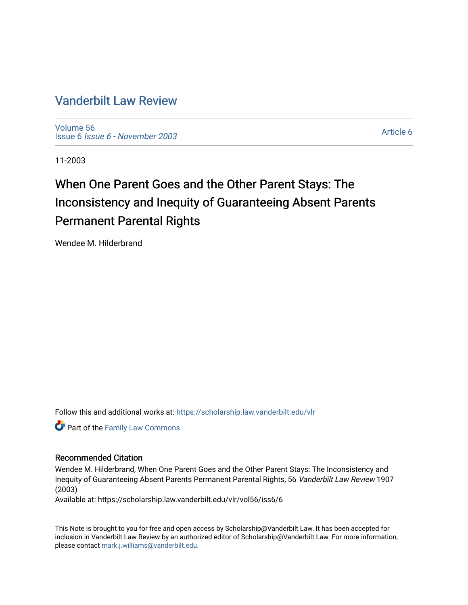## [Vanderbilt Law Review](https://scholarship.law.vanderbilt.edu/vlr)

[Volume 56](https://scholarship.law.vanderbilt.edu/vlr/vol56) Issue 6 [Issue 6 - November 2003](https://scholarship.law.vanderbilt.edu/vlr/vol56/iss6)

[Article 6](https://scholarship.law.vanderbilt.edu/vlr/vol56/iss6/6) 

11-2003

# When One Parent Goes and the Other Parent Stays: The Inconsistency and Inequity of Guaranteeing Absent Parents Permanent Parental Rights

Wendee M. Hilderbrand

Follow this and additional works at: [https://scholarship.law.vanderbilt.edu/vlr](https://scholarship.law.vanderbilt.edu/vlr?utm_source=scholarship.law.vanderbilt.edu%2Fvlr%2Fvol56%2Fiss6%2F6&utm_medium=PDF&utm_campaign=PDFCoverPages)

**Part of the Family Law Commons** 

## Recommended Citation

Wendee M. Hilderbrand, When One Parent Goes and the Other Parent Stays: The Inconsistency and Inequity of Guaranteeing Absent Parents Permanent Parental Rights, 56 Vanderbilt Law Review 1907 (2003)

Available at: https://scholarship.law.vanderbilt.edu/vlr/vol56/iss6/6

This Note is brought to you for free and open access by Scholarship@Vanderbilt Law. It has been accepted for inclusion in Vanderbilt Law Review by an authorized editor of Scholarship@Vanderbilt Law. For more information, please contact [mark.j.williams@vanderbilt.edu.](mailto:mark.j.williams@vanderbilt.edu)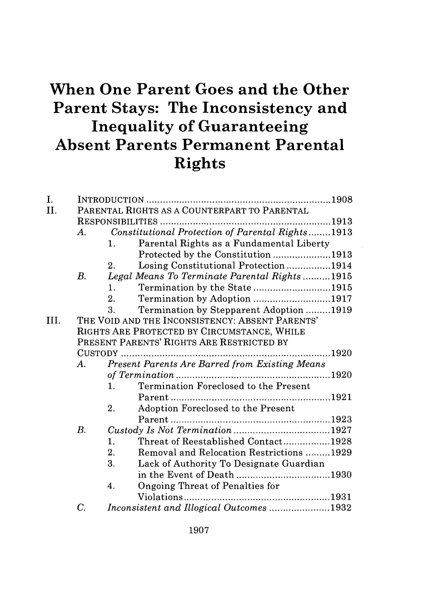## **When One Parent Goes and the Other Parent Stays: The Inconsistency and Inequality of Guaranteeing Absent Parents Permanent Parental Rights**

| I.   |                                              |                                                            |  |  |  |
|------|----------------------------------------------|------------------------------------------------------------|--|--|--|
| II.  | PARENTAL RIGHTS AS A COUNTERPART TO PARENTAL |                                                            |  |  |  |
|      |                                              |                                                            |  |  |  |
|      | $\bm{A}$ .                                   | Constitutional Protection of Parental Rights1913           |  |  |  |
|      |                                              | Parental Rights as a Fundamental Liberty<br>1.             |  |  |  |
|      |                                              | Protected by the Constitution 1913                         |  |  |  |
|      |                                              | Losing Constitutional Protection1914<br>2.                 |  |  |  |
|      | B.                                           | Legal Means To Terminate Parental Rights1915               |  |  |  |
|      |                                              | Termination by the State1915<br>1.                         |  |  |  |
|      |                                              | Termination by Adoption 1917<br>2.                         |  |  |  |
|      |                                              | Termination by Stepparent Adoption 1919<br>3.              |  |  |  |
| III. |                                              | THE VOID AND THE INCONSISTENCY: ABSENT PARENTS'            |  |  |  |
|      |                                              | RIGHTS ARE PROTECTED BY CIRCUMSTANCE, WHILE                |  |  |  |
|      | PRESENT PARENTS' RIGHTS ARE RESTRICTED BY    |                                                            |  |  |  |
|      | $\ldots$ . 1920                              |                                                            |  |  |  |
|      | A.                                           | Present Parents Are Barred from Existing Means             |  |  |  |
|      |                                              |                                                            |  |  |  |
|      |                                              | Termination Foreclosed to the Present<br>$\mathbf{1}_{+}$  |  |  |  |
|      |                                              |                                                            |  |  |  |
|      |                                              | Adoption Foreclosed to the Present<br>2.                   |  |  |  |
|      |                                              |                                                            |  |  |  |
|      | $B$ .                                        |                                                            |  |  |  |
|      |                                              | Threat of Reestablished Contact1928<br>1.                  |  |  |  |
|      |                                              | 2 <sub>1</sub><br>Removal and Relocation Restrictions 1929 |  |  |  |
|      |                                              | 3.<br>Lack of Authority To Designate Guardian              |  |  |  |
|      |                                              | in the Event of Death 1930                                 |  |  |  |
|      |                                              | Ongoing Threat of Penalties for<br>4.                      |  |  |  |
|      |                                              |                                                            |  |  |  |
|      | $\overline{C}$ .                             | Inconsistent and Illogical Outcomes 1932                   |  |  |  |
|      |                                              |                                                            |  |  |  |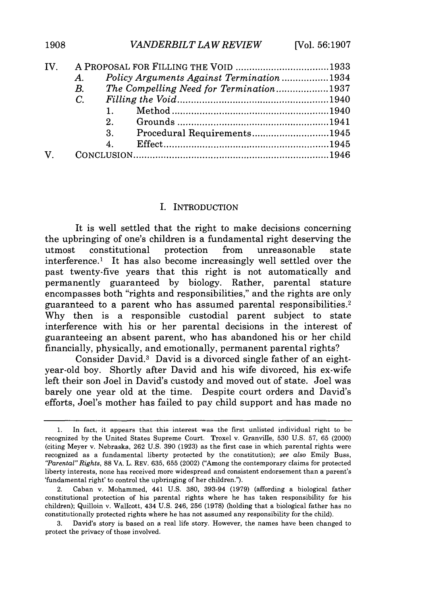| IV.          | A PROPOSAL FOR FILLING THE VOID 1933 |                |                                          |  |
|--------------|--------------------------------------|----------------|------------------------------------------|--|
|              | $A_{\cdot}$                          |                | Policy Arguments Against Termination1934 |  |
|              | $B_{\cdot}$                          |                | The Compelling Need for Termination1937  |  |
|              | $C_{\cdot}$                          |                |                                          |  |
|              |                                      |                |                                          |  |
|              |                                      |                |                                          |  |
|              |                                      | 3.             | Procedural Requirements1945              |  |
|              |                                      | $\overline{4}$ |                                          |  |
| $\mathbf{V}$ |                                      |                |                                          |  |
|              |                                      |                |                                          |  |

## I. INTRODUCTION

It is well settled that the right to make decisions concerning the upbringing of one's children is a fundamental right deserving the utmost constitutional protection from unreasonable state interference.1 It has also become increasingly well settled over the past twenty-five years that this right is not automatically and permanently guaranteed by biology. Rather, parental stature encompasses both "rights and responsibilities," and the rights are only guaranteed to a parent who has assumed parental responsibilities. <sup>2</sup> Why then is a responsible custodial parent subject to state interference with his or her parental decisions in the interest of guaranteeing an absent parent, who has abandoned his or her child financially, physically, and emotionally, permanent parental rights?

Consider David.3 David is a divorced single father of an eightyear-old boy. Shortly after David and his wife divorced, his ex-wife left their son Joel in David's custody and moved out of state. Joel was barely one year old at the time. Despite court orders and David's efforts, Joel's mother has failed to pay child support and has made no

3. David's story is based on a real life story. However, the names have been changed to protect the privacy of those involved.

<sup>1.</sup> In fact, it appears that this interest was the first unlisted individual right to be recognized by the United States Supreme Court. Troxel v. Granville, 530 U.S. 57, 65 (2000) (citing Meyer v. Nebraska, 262 U.S. 390 (1923) as the first case in which parental rights were recognized as a fundamental liberty protected by the constitution); *see also* Emily Buss, *"Parental" Rights,* 88 VA. L. REV. 635, 655 (2002) ("Among the contemporary claims for protected liberty interests, none has received more widespread and consistent endorsement than a parent's 'fundamental right' to control the upbringing of her children.").

<sup>2.</sup> Caban v. Mohammed, 441 U.S. 380, 393-94 (1979) (affording a biological father constitutional protection of his parental rights where he has taken responsibility for his children); Quilloin v. Wallcott, 434 U.S. 246, 256 (1978) (holding that a biological father has no constitutionally protected rights where he has not assumed any responsibility for the child).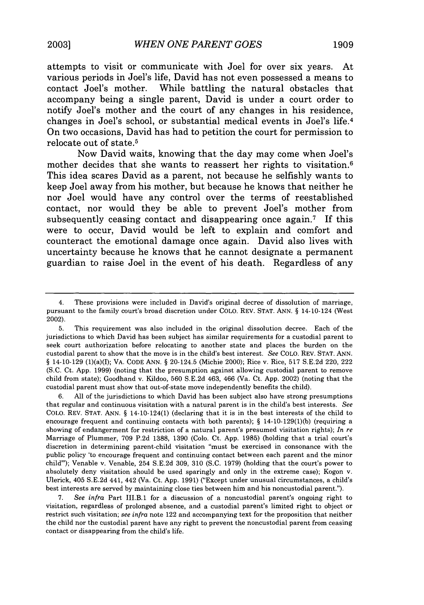attempts to visit or communicate with Joel for over six years. At various periods in Joel's life, David has not even possessed a means to contact Joel's mother. While battling the natural obstacles that accompany being a single parent, David is under a court order to notify Joel's mother and the court of any changes in his residence, changes in Joel's school, or substantial medical events in Joel's life.4 On two occasions, David has had to petition the court for permission to relocate out of state.5

Now David waits, knowing that the day may come when Joel's mother decides that she wants to reassert her rights to visitation.<sup>6</sup> This idea scares David as a parent, not because he selfishly wants to keep Joel away from his mother, but because he knows that neither he nor Joel would have any control over the terms of reestablished contact, nor would they be able to prevent Joel's mother from subsequently ceasing contact and disappearing once again.<sup>7</sup> If this were to occur, David would be left to explain and comfort and counteract the emotional damage once again. David also lives with uncertainty because he knows that he cannot designate a permanent guardian to raise Joel in the event of his death. Regardless of any

<sup>4.</sup> These provisions were included in David's original decree of dissolution of marriage, pursuant to the family court's broad discretion under COLO. REV. STAT. ANN. § 14-10-124 (West 2002).

<sup>5.</sup> This requirement was also included in the original dissolution decree. Each of the jurisdictions to which David has been subject has similar requirements for a custodial parent to seek court authorization before relocating to another state and places the burden on the custodial parent to show that the move is in the child's best interest. *See* COLO. REV. STAT. ANN. § 14-10-129 (1)(a)(I); VA. CODE ANN. § 20-124.5 (Michie 2000); Rice v. Rice, 517 S.E.2d 220, 222 (S.C. Ct. App. 1999) (noting that the presumption against allowing custodial parent to remove child from state); Goodhand v. Kildoo, 560 S.E.2d 463, 466 (Va. Ct. App. 2002) (noting that the custodial parent must show that out-of-state move independently benefits the child).

<sup>6.</sup> All of the jurisdictions to which David has been subject also have strong presumptions that regular and continuous visitation with a natural parent is in the child's best interests. *See* **COLO.** REV. STAT. ANN. § 14-10-124(1) (declaring that it is in the best interests of the child to encourage frequent and continuing contacts with both parents);  $\S$  14-10-129(1)(b) (requiring a showing of endangerment for restriction of a natural parent's presumed visitation rights); *In re* Marriage of Plummer, 709 P.2d 1388, 1390 (Colo. Ct. App. 1985) (holding that a trial court's discretion in determining parent-child visitation "must be exercised in consonance with the public policy 'to encourage frequent and continuing contact between each parent and the minor child"'); Venable v. Venable, 254 S.E.2d 309, 310 (S.C. 1979) (holding that the court's power to absolutely deny visitation should be used sparingly and only in the extreme case); Kogon v. Ulerick, 405 S.E.2d 441, 442 (Va. Ct. App. 1991) ("Except under unusual circumstances, a child's best interests are served by maintaining close ties between him and his noncustodial parent.").

<sup>7.</sup> *See infra* Part III.B.1 for a discussion of a noncustodial parent's ongoing right to visitation, regardless of prolonged absence, and a custodial parent's limited right to object or restrict such visitation; *see infra* note 122 and accompanying text for the proposition that neither the child nor the custodial parent have any right to prevent the noncustodial parent from ceasing contact or disappearing from the child's life.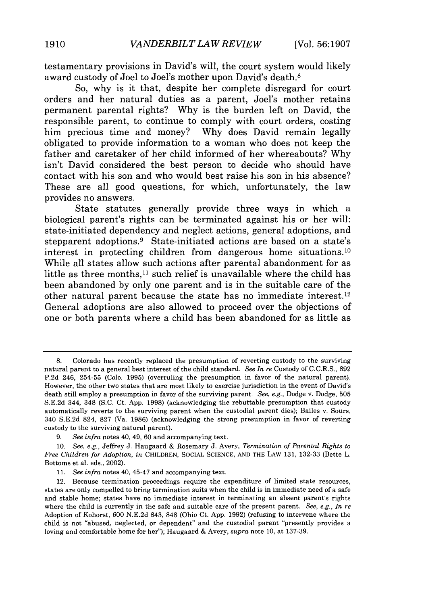testamentary provisions in David's will, the court system would likely award custody of Joel to Joel's mother upon David's death.8

**So,** why is it that, despite her complete disregard for court orders and her natural duties as a parent, Joel's mother retains permanent parental rights? Why is the burden left on David, the responsible parent, to continue to comply with court orders, costing him precious time and money? **Why** does David remain legally obligated to provide information to a woman who does not keep the father and caretaker of her child informed of her whereabouts? **Why** isn't David considered the best person to decide who should have contact with his son and who would best raise his son in his absence? These are all good questions, for which, unfortunately, the law provides no answers.

State statutes generally provide three ways in which a biological parent's rights can be terminated against his or her will: state-initiated dependency and neglect actions, general adoptions, and stepparent adoptions.<sup>9</sup> State-initiated actions are based on a state's interest in protecting children from dangerous home situations.<sup>10</sup> While all states allow such actions after parental abandonment for as little as three months, $^{11}$  such relief is unavailable where the child has been abandoned **by** only one parent and is in the suitable care of the other natural parent because the state has no immediate interest. <sup>12</sup> General adoptions are also allowed to proceed over the objections of one or both parents where a child has been abandoned for as little as

**<sup>8.</sup>** Colorado has recently replaced the presumption of reverting custody to the surviving natural parent to a general best interest of the child standard. *See In re* Custody of C.C.R.S., **892 P.2d** 246, **254-55** (Colo. **1995)** (overruling the presumption in favor of the natural parent). However, the other two states that are most likely to exercise jurisdiction in the event of David's death still employ a presumption in favor of the surviving parent. *See, e.g.,* Dodge v. Dodge, **505 S.E.2d** 344, 348 **(S.C.** Ct. **App. 1998)** (acknowledging the rebuttable presumption that custody automatically reverts to the surviving parent when the custodial parent dies); Bailes v. Sours, 340 **S.E.2d** 824, **827** (Va. **1986)** (acknowledging the strong presumption in favor of reverting custody to the surviving natural parent).

**<sup>9.</sup>** *See infra* notes 40, 49, **60** and accompanying text.

**<sup>10.</sup>** *See, e.g.,* Jeffrey **J.** Haugaard **&** Rosemary **J.** Avery, *Termination of Parental Rights to Free Children for Adoption, in* CHILDREN, **SOCIAL SCIENCE, AND** THE LAW **131, 132-33** (Bette L. Bottoms et al. eds., 2002).

*<sup>11.</sup> See infra* notes 40, 45-47 and accompanying text.

<sup>12.</sup> Because termination proceedings require the expenditure of limited state resources, states are only compelled to bring termination suits when the child is in immediate need of a safe and stable home; states have no immediate interest in terminating an absent parent's rights where the child is currently in the safe and suitable care of the present parent. *See, e.g., In re* Adoption of **Kohorst, 600 N.E.2d** 843, **848** (Ohio Ct. **App. 1992)** (refusing to intervene where the child is not "abused, neglected, or dependent" and the custodial parent "presently provides a loving and comfortable home for her"); Haugaard **&** Avery, *supra* note **10,** at **137-39.**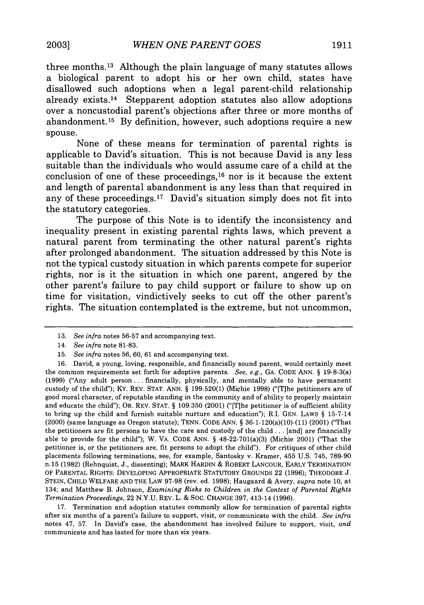three months. 13 Although the plain language of many statutes allows a biological parent to adopt his or her own child, states have disallowed such adoptions when a legal parent-child relationship already exists. 14 Stepparent adoption statutes also allow adoptions over a noncustodial parent's objections after three or more months of abandonment.'6 **By** definition, however, such adoptions require a new spouse.

None of these means for termination of parental rights is applicable to David's situation. This is not because David is any less suitable than the individuals who would assume care of a child at the conclusion of one of these proceedings, $^{16}$  nor is it because the extent and length of parental abandonment is any less than that required in any of these proceedings.<sup>17</sup> David's situation simply does not fit into the statutory categories.

The purpose of this Note is to identify the inconsistency and inequality present in existing parental rights laws, which prevent a natural parent from terminating the other natural parent's rights after prolonged abandonment. The situation addressed **by** this Note is not the typical custody situation in which parents compete for superior rights, nor is it the situation in which one parent, angered **by** the other parent's failure to pay child support or failure to show up on time for visitation, vindictively seeks to cut off the other parent's rights. The situation contemplated is the extreme, but not uncommon,

17. Termination and adoption statutes commonly allow for termination of parental rights after six months of a parent's failure to support, visit, or communicate with the child. *See infra* notes 47, 57. In David's case, the abandonment has involved failure to support, visit, *and* communicate and has lasted for more than six years.

<sup>13.</sup> *See infra* notes 56-57 and accompanying text.

<sup>14.</sup> *See infra* note 81-83.

<sup>15.</sup> *See infra* notes 56, 60, 61 and accompanying text.

<sup>16.</sup> David, a young, loving, responsible, and financially sound parent, would certainly meet the common requirements set forth for adoptive parents. *See, e.g.,* GA. CODE ANN. § 19-8-3(a) (1999) ("Any adult person **...** financially, physically, and mentally able to have permanent custody of the child"); KY. REV. STAT. ANN. § 199.520(1) (Michie 1998) ("[T]he petitioners are of good moral character, of reputable standing in the community and of ability to properly maintain and educate the child"); OR. REV. STAT. § 109.350 (2001) ("[T]he petitioner is of sufficient ability **to** bring **up** the child and furnish suitable nurture and education"); R.I. GEN. LAWS § 15-7-14 (2000) (same language as Oregon statute); TENN. CODE ANN. § 36-1-120(a)(10)-(11) (2001) ("That the petitioners are fit persons to have the care and custody of the child **...** [and] are financially able to provide for the child"); W. VA. CODE ANN. § 48-22-701(a)(3) (Michie 2001) ("That the petitioner is, or the petitioners are, fit persons to adopt the child"). For critiques of other child placements following terminations, see, for example, Santosky v. Kramer, 455 U.S. 745, 789-90 n.15 (1982) (Rehnquist, J., dissenting); MARK HARDIN & ROBERT LANCOUR, EARLY TERMINATION OF PARENTAL RIGHTS: DEVELOPING APPROPRIATE STATUTORY GROUNDS 22 (1996); THEODORE J. STEIN, CHILD WELFARE AND THE LAW 97-98 (rev. ed. 1998); Haugaard & Avery, *supra* note 10, at 134; and Matthew B. Johnson, *Examining Risks to Children in the Context of Parental Rights Termination Proceedings,* 22 N.Y.U. REV. L. & SOC. CHANGE 397, 413-14 (1996).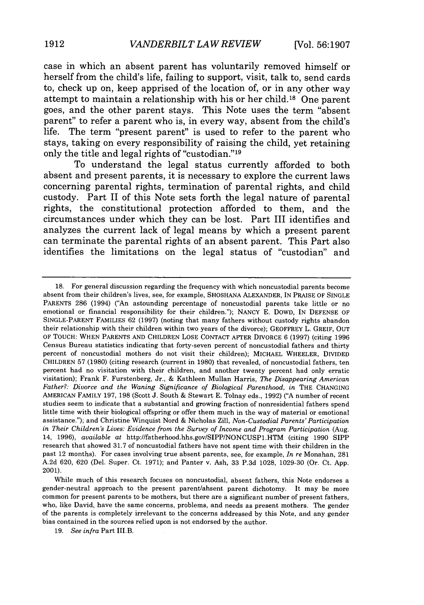case in which an absent parent has voluntarily removed himself or herself from the child's life, failing to support, visit, talk to, send cards to, check up on, keep apprised of the location of, or in any other way attempt to maintain a relationship with his or her child.18 One parent goes, and the other parent stays. This Note uses the term "absent parent" to refer a parent who is, in every way, absent from the child's life. The term "present parent" is used to refer to the parent who stays, taking on every responsibility of raising the child, yet retaining only the title and legal rights of "custodian."<sup>19</sup>

To understand the legal status currently afforded to both absent and present parents, it is necessary to explore the current laws concerning parental rights, termination of parental rights, and child custody. Part **II** of this Note sets forth the legal nature of parental rights, the constitutional protection afforded to them, and the circumstances under which they can be lost. Part III identifies and analyzes the current lack of legal means **by** which a present parent can terminate the parental rights of an absent parent. This Part also identifies the limitations on the legal status of "custodian" and

<sup>18.</sup> For general discussion regarding the frequency with which noncustodial parents become absent from their children's lives, see, for example, SHOSHANA ALEXANDER, IN PRAISE OF SINGLE PARENTS 286 (1994) ("An astounding percentage of noncustodial parents take little or no emotional or financial responsibility for their children."); NANCY E. DOWD, IN DEFENSE OF SINGLE-PARENT FAMILIES 62 (1997) (noting that many fathers without custody rights abandon their relationship with their children within two years of the divorce); GEOFFREY L. GREIF, OUT OF TOUCH: WHEN PARENTS AND CHILDREN LOSE CONTACT AFTER DIVORCE 6 (1997) (citing 1996 Census Bureau statistics indicating that forty-seven percent of noncustodial fathers and thirty percent of noncustodial mothers do not visit their children); MICHAEL WHEELER, DIVIDED CHILDREN 57 (1980) (citing research (current in 1980) that revealed, of noncustodial fathers, ten percent had no visitation with their children, and another twenty percent had only erratic visitation); Frank F. Furstenberg, Jr., & Kathleen Mullan Harris, *The Disappearing American Father?: Divorce and the Waning Significance of Biological Parenthood, in THE CHANGING* AMERICAN FAMILY 197, 198 (Scott J. South & Stewart E. Tolnay eds., 1992) ("A number of recent studies seem to indicate that a substantial and growing fraction of nonresidential fathers spend little time with their biological offspring or offer them much in the way of material or emotional assistance."); and Christine Winquist Nord & Nicholas Zill, *Non-Custodial Parents' Participation in Their Children's Lives: Evidence from the Survey of Income and Program Participation (Aug.* 14, 1996), *available at* http://fatherhood.hhs.gov/SIPP/NONCUSP1.HTM (citing 1990 SIPP research that showed 31.7 of noncustodial fathers have not spent time with their children in the past 12 months). For cases involving true absent parents, see, for example, *In re* Monahan, 281 A.2d 620, 620 (Del. Super. Ct. 1971); and Panter v. Ash, 33 P.3d 1028, 1029-30 (Or. Ct. App. 2001).

While much of this research focuses on noncustodial, absent fathers, this Note endorses a gender-neutral approach to the present parent/absent parent dichotomy. It may be more common for present parents to be mothers, but there are a significant number of present fathers, who, like David, have the same concerns, problems, and needs as present mothers. The gender of the parents is completely irrelevant to the concerns addressed by this Note, and any gender bias contained in the sources relied upon is not endorsed by the author.

<sup>19.</sup> *See infra* Part III.B.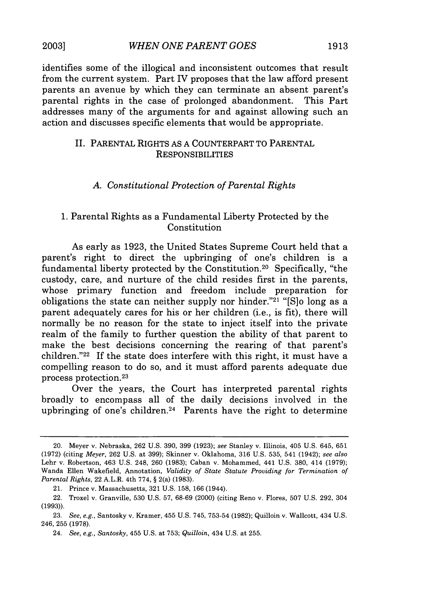identifies some of the illogical and inconsistent outcomes that result from the current system. Part IV proposes that the law afford present parents an avenue by which they can terminate an absent parent's parental rights in the case of prolonged abandonment. This Part addresses many of the arguments for and against allowing such an action and discusses specific elements that would be appropriate.

## II. PARENTAL RIGHTS AS A COUNTERPART TO PARENTAL **RESPONSIBILITIES**

## *A. Constitutional Protection of Parental Rights*

## 1. Parental Rights as a Fundamental Liberty Protected by the Constitution

As early as 1923, the United States Supreme Court held that a parent's right to direct the upbringing of one's children is a fundamental liberty protected by the Constitution. 20 Specifically, "the custody, care, and nurture of the child resides first in the parents, whose primary function and freedom include preparation for obligations the state can neither supply nor hinder."21 "[S]o long as a parent adequately cares for his or her children (i.e., is fit), there will normally be no reason for the state to inject itself into the private realm of the family to further question the ability of that parent to make the best decisions concerning the rearing of that parent's children."<sup>22</sup> If the state does interfere with this right, it must have a compelling reason to do so, and it must afford parents adequate due process protection. <sup>23</sup>

Over the years, the Court has interpreted parental rights broadly to encompass all of the daily decisions involved in the upbringing of one's children.24 Parents have the right to determine

<sup>20.</sup> Meyer v. Nebraska, 262 U.S. 390, 399 (1923); *see* Stanley v. Illinois, 405 U.S. 645, 651 (1972) (citing *Meyer,* 262 U.S. at 399); Skinner v. Oklahoma, 316 U.S. 535, 541 (1942); *see also* Lehr v. Robertson, 463 U.S. 248, 260 (1983); Caban v. Mohammed, 441 U.S. 380, 414 (1979); Wanda Ellen Wakefield, Annotation, *Validity of State Statute Providing for Termination of Parental Rights,* 22 A.L.R. 4th 774, § 2(a) (1983).

<sup>21.</sup> Prince v. Massachusetts, **321** U.S. 158, 166 (1944).

<sup>22.</sup> Troxel v. Granville, 530 U.S. 57, 68-69 (2000) (citing Reno v. Flores, 507 U.S. 292, 304 (1993)).

<sup>23.</sup> *See, e.g.,* Santosky v. Kramer, 455 U.S. 745, 753-54 (1982); Quilloin v. Wallcott, 434 U.S. 246, 255 (1978).

<sup>24.</sup> *See, e.g., Santosky,* 455 U.S. at 753; *Quilloin,* 434 U.S. at 255.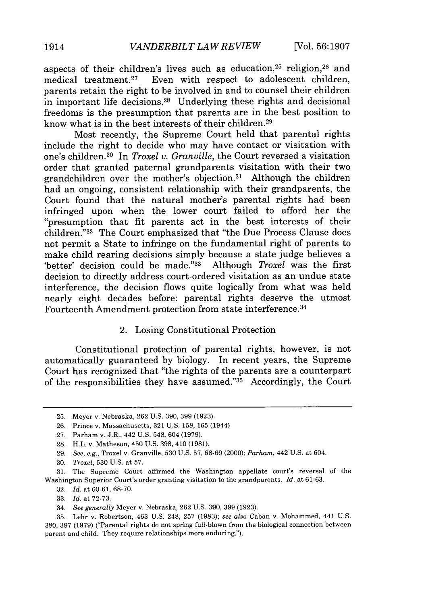aspects of their children's lives such as education,<sup>25</sup> religion,<sup>26</sup> and medical treatment.<sup>27</sup> Even with respect to adolescent children, Even with respect to adolescent children, parents retain the right to be involved in and to counsel their children in important life decisions.<sup>28</sup> Underlying these rights and decisional freedoms is the presumption that parents are in the best position to know what is in the best interests of their children.29

Most recently, the Supreme Court held that parental rights include the right to decide who may have contact or visitation with one's children. 30 In *Troxel v. Granville,* the Court reversed a visitation order that granted paternal grandparents visitation with their two grandchildren over the mother's objection.31 Although the children had an ongoing, consistent relationship with their grandparents, the Court found that the natural mother's parental rights had been infringed upon when the lower court failed to afford her the "presumption that fit parents act in the best interests of their children."32 The Court emphasized that "the Due Process Clause does not permit a State to infringe on the fundamental right of parents to make child rearing decisions simply because a state judge believes a 'better' decision could be made."33 Although *Troxel* was the first decision to directly address court-ordered visitation as an undue state interference, the decision flows quite logically from what was held nearly eight decades before: parental rights deserve the utmost Fourteenth Amendment protection from state interference. <sup>34</sup>

#### 2. Losing Constitutional Protection

Constitutional protection of parental rights, however, is not automatically guaranteed by biology. In recent years, the Supreme Court has recognized that "the rights of the parents are a counterpart of the responsibilities they have assumed."35 Accordingly, the Court

32. *Id.* at 60-61, 68-70.

34. *See generally* Meyer v. Nebraska, 262 U.S. 390, 399 (1923).

<sup>25.</sup> Meyer v. Nebraska, 262 U.S. 390, 399 (1923).

<sup>26.</sup> Prince v. Massachusetts, 321 U.S. 158, 165 (1944)

<sup>27.</sup> Parham v. J.R., 442 U.S. 548, 604 (1979).

<sup>28.</sup> H.L. v. Matheson, 450 U.S. 398, 410 (1981).

<sup>29.</sup> *See, e.g.,* Troxel v. Granville, 530 U.S. 57, 68-69 (2000); *Parham,* 442 U.S. at 604.

<sup>30.</sup> *Troxel,* 530 U.S. at 57.

<sup>31.</sup> The Supreme Court affirmed the Washington appellate court's reversal of the Washington Superior Court's order granting visitation to the grandparents. *Id.* at 61-63.

<sup>33.</sup> *Id.* at 72.73.

<sup>35.</sup> Lehr v. Robertson, 463 U.S. 248, 257 (1983); *see also* Caban v. Mohammed, 441 U.S. 380, 397 (1979) ("Parental rights do not spring full-blown from the biological connection between parent and child. They require relationships more enduring.").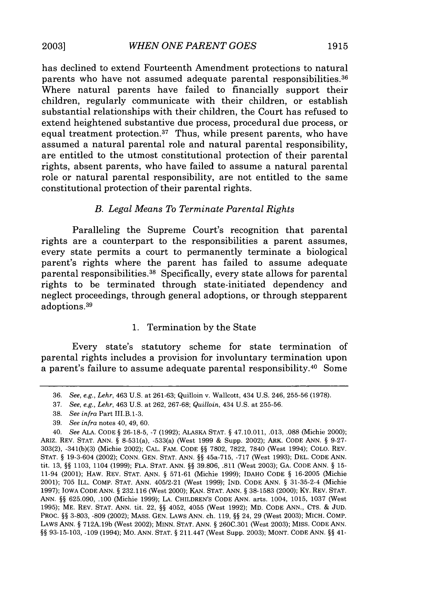has declined to extend Fourteenth Amendment protections to natural parents who have not assumed adequate parental responsibilities. <sup>36</sup> Where natural parents have failed to financially support their children, regularly communicate with their children, or establish substantial relationships with their children, the Court has refused to extend heightened substantive due process, procedural due process, or equal treatment protection.<sup>37</sup> Thus, while present parents, who have assumed a natural parental role and natural parental responsibility, are entitled to the utmost constitutional protection of their parental rights, absent parents, who have failed to assume a natural parental role or natural parental responsibility, are not entitled to the same constitutional protection of their parental rights.

## *B. Legal Means To Terminate Parental Rights*

Paralleling the Supreme Court's recognition that parental rights are a counterpart to the responsibilities a parent assumes, every state permits a court to permanently terminate a biological parent's rights where the parent has failed to assume adequate parental responsibilities.<sup>38</sup> Specifically, every state allows for parental rights to be terminated through state-initiated dependency and neglect proceedings, through general adoptions, or through stepparent adoptions. <sup>39</sup>

## 1. Termination by the State

Every state's statutory scheme for state termination of parental rights includes a provision for involuntary termination upon a parent's failure to assume adequate parental responsibility. 40 Some

39. *See infra* notes 40, 49, 60.

<sup>36.</sup> *See, e.g., Lehr,* 463 U.S. at 261-63; Quilloin v. Wallcott, 434 U.S. 246, 255-56 (1978).

<sup>37.</sup> *See, e.g., Lehr,* 463 U.S. at 262, 267-68; *Quilloin,* 434 U.S. at 255-56.

<sup>38.</sup> *See infra* Part III.B.1-3.

<sup>40.</sup> *See* ALA. CODE § 26-18-5, -7 (1992); ALASKA **STAT.** § 47.10.011, .013, .088 (Michie 2000); ARIZ. REV. STAT. ANN. § 8-531(a), -533(a) (West 1999 & Supp. 2002); ARK. CODE ANN. § 9-27- 303(2), -341(b)(3) (Michie 2002); CAL. FAM. CODE §§ 7802, 7822, 7840 (West 1994); COLO. REV. **STAT.** § 19-3-604 (2002); CONN. GEN. **STAT.** ANN. §§ 45a-715, -717 (West 1993); DEL. CODE ANN. tit. 13, §§ 1103, 1104 (1999); FLA. **STAT.** ANN. §§ 39.806, .811 (West 2003); GA. CODE ANN. § 15- 11-94 (2001); HAW. REV. **STAT.** ANN. § 571-61 (Michie 1999); IDAHO CODE § 16-2005 (Michie 2001); 705 ILL. COMP. **STAT.** ANN. 405/2-21 (West 1999); IND. CODE ANN. § 31-35-2-4 (Michie 1997); IOWA CODE ANN. § 232.116 (West 2000); KAN. **STAT.** ANN. § 38-1583 (2000); KY. REV. **STAT.** ANN. §§ 625.090, .100 (Michie 1999); LA. CHILDREN'S CODE ANN. arts. 1004, 1015, 1037 (West 1995); ME. REV. **STAT.** ANN. tit. 22, §§ 4052, 4055 (West 1992); MD. CODE ANN., CTS. **&** JUD. PROC. §§ 3-803, -809 (2002); MASS. GEN. LAWS ANN. ch. 119, §§ 24, 29 (West 2003); MICH. COMP. LAWS ANN. § 712A.19b (West 2002); MINN. **STAT.** ANN. § 260C.301 (West 2003); MISS. CODE ANN. §§ 93-15-103, -109 (1994); MO. ANN. **STAT.** § 211.447 (West Supp. 2003); MONT. CODE ANN. §§ 41-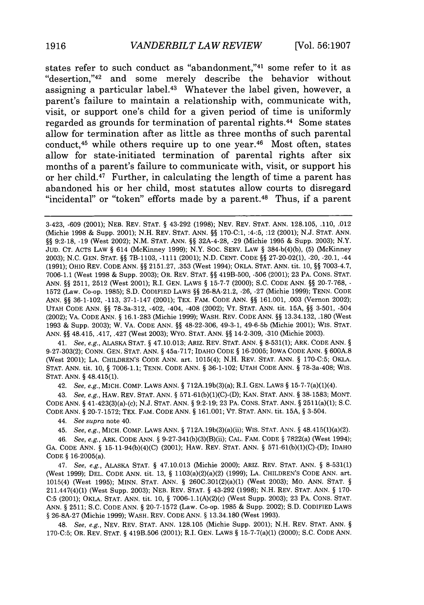states refer to such conduct as "abandonment,"41 some refer to it as "desertion,"42 and some merely describe the behavior without assigning a particular label.<sup>43</sup> Whatever the label given, however, a parent's failure to maintain a relationship with, communicate with, visit, or support one's child for a given period of time is uniformly regarded as grounds for termination of parental rights. 44 Some states allow for termination after as little as three months of such parental conduct,<sup>45</sup> while others require up to one year.<sup>46</sup> Most often, states allow for state-initiated termination of parental rights after six months of a parent's failure to communicate with, visit, or support his or her child.47 Further, in calculating the length of time a parent has abandoned his or her child, most statutes allow courts to disregard "incidental" or "token" efforts made **by** a parent. 48 Thus, if a parent

41. *See, e.g.,* ALASKA STAT. § 47.10.013; ARIZ. REV. STAT. ANN. § 8-531(1); ARK. CODE ANN. § 9-27-303(2); CONN. GEN. STAT. ANN. § 45a-717; IDAHO CODE *§* 16-2005; IOWA CODE ANN. *§* 600A.8 (West 2001); LA. CHILDREN'S CODE ANN. art. 1015(4); N.H. REV. STAT. ANN. § 170-C:5; OKLA. **STAT.** ANN. tit. 10, *§* 7006-1.1; TENN. CODE ANN. *§* 36-1-102; UTAH CODE ANN. *§* 78-3a-408; WIS. **STAT.** ANN. *§* 48.415(1).

42. *See, e.g.,* MICH. COMP. LAWS ANN. § 712A.19b(3)(a); R.I. GEN. LAWS § 15-7-7(a)(1)(4).

43. *See, e.g.,* HAW. REV. STAT. ANN. § 571-61(b)(1)(C)-(D); KAN. STAT. ANN. § 38-1583; MONT. CODE ANN. *§* 41-423(3)(a)-(c); N.J. STAT. ANN. § 9:2-19; 23 PA. CONS. STAT. ANN. *§* 2511(a)(1); S.C. CODE ANN. *§* 20-7-1572; TEX. FAM. CODE ANN. *§* 161.001; VT. STAT. ANN. tit. **15A,** § 3-504.

44. *See supra* note 40.

45. *See, e.g.,* MICH. COMP. LAWS ANN. § 712A.19b(3)(a)(ii); WIS. STAT. ANN. § 48.415(1)(a)(2).

46. *See, e.g.,* ARK. CODE ANN. § 9-27-341(b)(3)(B)(ii); CAL. FAM. CODE *§* 7822(a) (West 1994); GA. CODE ANN. *§* 15-11-94(b)(4)(C) (2001); HAW. REV. STAT. ANN. § 571-61(b)(1)(C)-(D); IDAHO CODE *§* 16-2005(a).

47. *See, e.g.,* ALASKA STAT. *§* 47.10.013 (Michie 2000); ARIZ. REV. STAT. ANN. § 8-531(1) (West 1999); DEL. CODE ANN. tit. 13, *§* 1103(a)(2)(a)(2) (1999); LA. CHILDREN'S CODE ANN. art. 1015(4) (West 1995); MINN. STAT. ANN. *§* 260C.301(2)(a)(1) (West 2003); MO. ANN. STAT. § 211.447(4)(1) (West Supp. 2003); NEB. REV. STAT. § 43-292 (1998); N.H. REV. STAT. ANN. § 170- C:5 (2001); OKLA. STAT. ANN. tit. 10, § 7006-1.1(A)(2)(c) (West Supp. 2003); 23 PA. CONS. STAT. ANN. § 2511; S.C. CODE ANN. § 20-7-1572 (Law. Co-op. 1985 & Supp. 2002); S.D. CODIFIED LAWS § 26-8A-27 (Michie 1999); WASH. REV. CODE ANN. § 13.34.180 (West 1993).

48. *See, e.g.,* NEV. REV. STAT. ANN. 128.105 (Michie Supp. 2001); N.H. REV. STAT. ANN. § 170-C:5; OR. REV. STAT. *§* 419B.506 (2001); R.I. GEN. LAWS *§* 15-7-7(a)(1) (2000); S.C. CODE ANN.

<sup>3-423, -609 (2001);</sup> NEB. REV. STAT. *§* 43-292 (1998); NEV. REV. STAT. ANN. 128.105, .110, .012 (Michie 1998 & Supp. 2001); N.H. REV. STAT. ANN. *§§* 170-C:1, :4-:5, :12 (2001); N.J. STAT. ANN. *§§* 9:2-18, **-19** (West 2002); N.M. STAT. ANN. *§§* 32A-4-28, **-29** (Michie 1995 & Supp. 2003); N.Y. JUD. CT. ACTS LAW *§* 614 (McKinney 1999); N.Y. SOC. SERV. LAW § 384-b(4)(b), (5) (McKinney 2003); N.C. GEN. STAT. *§§* 7B-1103, -1111 (2001); N.D. CENT. CODE *§§* 27-20.02(1), -20, -20.1, -44 (1991); OHIO REV. CODE ANN. §§ 2151.27, .353 (West 1994); OKLA. STAT. ANN. tit. 10, §§ 7003-4.7, 7006-1.1 (West 1998 & Supp. 2003); OR. REV. STAT. *§§* 419B-500, -506 (2001); 23 PA. CONS. STAT. ANN. §§ 2511, 2512 (West 2001); R.I. GEN. LAWS *§* 15-7-7 (2000); S.C. CODE ANN. *§§* 20-7-768, - 1572 (Law. Co-op. 1985); S.D. CODIFIED LAWS *§§* 26-8A-21.2, -26, -27 (Michie 1999); TENN. CODE ANN. *§§* 36-1-102, -113, 37-1-147 (2001); TEX. FAM. CODE ANN. *§§* 161.001, .003 (Vernon 2002); UTAH CODE ANN. *§§* 78-3a-312, -402, -404, -408 (2002); VT. **STAT.** ANN. tit. **15A,** *§§* 3-501, -504 (2002); VA. CODE ANN. *§* 16.1-283 (Michie 1999); WASH. REV. CODE ANN. *§§* 13.34.132, .180 (West 1993 & Supp. 2003); W. VA. CODE ANN. *§§* 48-22-306, 49-3-1, 49.6-5b (Michie 2001); WIS. STAT. ANN. *§§* 48.415, .417, .427 (West 2003); WYO. STAT. ANN. *§§* 14-2-309, -310 (Michie 2003).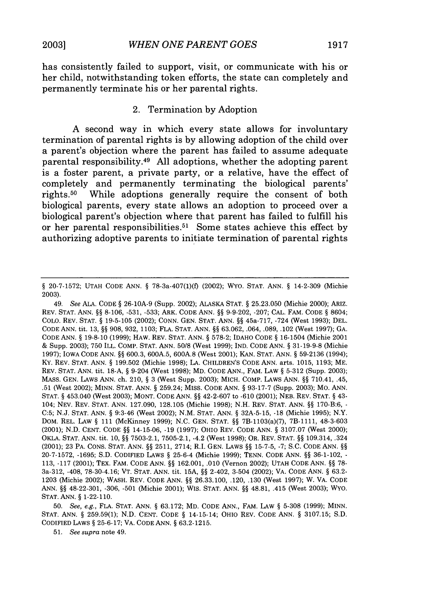has consistently failed to support, visit, or communicate with his or her child, notwithstanding token efforts, the state can completely and permanently terminate his or her parental rights.

## 2. Termination **by** Adoption

**A** second way in which every state allows for involuntary termination of parental rights is **by** allowing adoption of the child over a parent's objection where the parent has failed to assume adequate parental responsibility. <sup>49</sup>**All** adoptions, whether the adopting parent is a foster parent, a private party, or a relative, have the effect of completely and permanently terminating the biological parents' rights. 50 While adoptions generally require the consent of both biological parents, every state allows an adoption to proceed over a biological parent's objection where that parent has failed to fulfill his or her parental responsibilities. 51 Some states achieve this effect **by** authorizing adoptive parents to initiate termination of parental rights

49. *See* ALA. CODE § 26-10A-9 (Supp. 2002); ALASKA STAT. § 25.23.050 (Michie 2000); ARIZ. REV. STAT. ANN. §§ 8-106, -531, **-533;** ARK. CODE ANN. §§ 9-9-202, -207; CAL. FAM. CODE § 8604; COLO. REV. STAT. § 19-5-105 (2002); CONN. GEN. STAT. ANN. §§ 45a-717, -724 (West 1993); DEL. CODE ANN. tit. 13, §§ 908, 932, 1103; FLA. STAT. ANN. §§ 63.062, .064, .089, .102 (West 1997); **GA.** CODE ANN. § 19-8-10 (1999); HAW. REV. STAT. ANN. § 578-2; IDAHO CODE § 16-1504 (Michie 2001 & Supp. 2003); 750 ILL. COMP. STAT. ANN. 50/8 (West 1999); IND. CODE ANN. § 31-19-9-8 (Michie 1997); IOWA CODE ANN. §§ 600.3, 600A.5, 600A.8 (West 2001); KAN. STAT. ANN. § 59-2136 (1994); KY. REV. STAT. ANN. § 199.502 (Michie 1998); LA. CHILDREN'S CODE ANN. arts. 1015, 1193; ME. REV. STAT. ANN. tit. 18-A, § 9-204 (West 1998); MD. CODE ANN., FAM. LAW § 5-312 (Supp. 2003); MASS. GEN. LAWS ANN. ch. 210, § 3 (West Supp. 2003); MICH. COMP. LAWS ANN. §§ 710.41, .45, .51 (West 2002); MINN. STAT. ANN. § 259.24; MISS. CODE ANN. § 93-17-7 (Supp. 2003); MO. ANN. **STAT.** § 453.040 (West 2003); MONT. CODE ANN. §§ 42-2-607 to -610 (2001); NEB. REV. STAT. § 43- 104; NEV. REV. STAT. ANN. 127.090, 128.105 (Michie 1998); N.H. REV. STAT. ANN. §§ 170-B:6, - C:5; N.J. STAT. ANN. § 9:3-46 (West 2002); N.M. STAT. ANN. § 32A-5-15, -18 (Michie 1995); N.Y. DOM. REL. LAW § 111 (McKinney 1999); N.C. GEN. STAT. §§ 7B-1103(a)(7), 7B-1111, 48-3-603 (2001); N.D. CENT. CODE §§ 14-15-06, -19 (1997); OHIO REV. CODE ANN. § 3107.07 (West 2000); OKLA. STAT. ANN. tit. 10, §§ 7503-2.1, 7505-2.1, -4.2 (West 1998); OR. REV. STAT. §§ 109.314, .324 (2001); 23 PA. CONS. STAT. ANN. §§ 2511, 2714; R.I. GEN. LAWS §§ 15-7-5, -7; S.C. CODE ANN. §§ 20-7-1572, -1695; S.D. CODIFIED LAWS § 25-6-4 (Michie 1999); TENN. CODE ANN. §§ 36-1-102, - 113, -117 (2001); TEX. FAM. CODE ANN. §§ 162.001, .010 (Vernon 2002); UTAH CODE ANN. §§ 78- 3a-312, -408, 78-30-4.16; VT. STAT. ANN. tit. **15A,** §§ 2-402, 3-504 (2002); VA. CODE ANN. § 63.2- 1203 (Michie 2002); WASH. REV. CODE ANN. §§ 26.33.100, .120, .130 (West 1997); W. VA. CODE ANN. §§ 48-22-301, -306, -501 (Michie 2001); WIS. STAT. ANN. §§ 48.81, .415 (West 2003); WYO. **STAT.** ANN. § 1-22-110.

50. *See, e.g.,* FLA. STAT. ANN. § 63.172; MD. CODE ANN., FAM. LAW § 5-308 (1999); MINN. **STAT.** ANN. § 259.59(1); N.D. CENT. CODE § 14-15-14; OHIO REV. CODE ANN. § 3107.15; S.D. CODIFIED LAWS § 25-6-17; VA. CODE ANN. § 63.2-1215.

51. *See supra* note 49.

<sup>§ 20-7-1572;</sup> UTAH CODE ANN. § 78-3a-407(1)(f) (2002); WYO. STAT. ANN. § 14-2-309 (Michie 2003).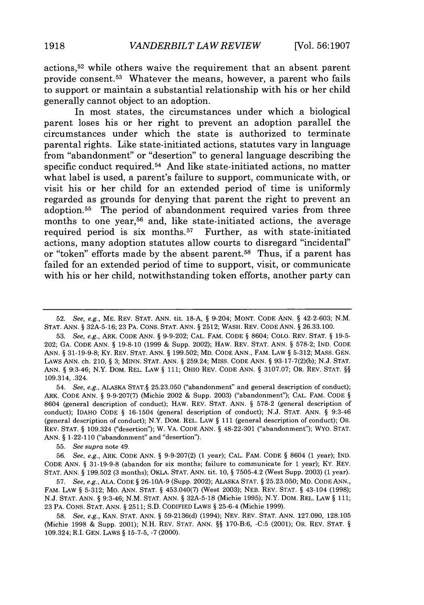actions, 52 while others waive the requirement that an absent parent provide consent.<sup>53</sup> Whatever the means, however, a parent who fails to support or maintain a substantial relationship with his or her child generally cannot object to an adoption.

In most states, the circumstances under which a biological parent loses his or her right to prevent an adoption parallel the circumstances under which the state is authorized to terminate parental rights. Like state-initiated actions, statutes vary in language from "abandonment" or "desertion" to general language describing the specific conduct required.<sup>54</sup> And like state-initiated actions, no matter what label is used, a parent's failure to support, communicate with, or visit his or her child for an extended period of time is uniformly regarded as grounds for denying that parent the right to prevent an adoption. 55 The period of abandonment required varies from three months to one year,<sup>56</sup> and, like state-initiated actions, the average required period is six months.<sup>57</sup> Further, as with state-initiated actions, many adoption statutes allow courts to disregard "incidental" or "token" efforts made by the absent parent.<sup>58</sup> Thus, if a parent has failed for an extended period of time to support, visit, or communicate with his or her child, notwithstanding token efforts, another party can

55. *See supra* note 49.

56. *See, e.g.,* ARK. CODE ANN. § 9-9-207(2) (1 year); CAL. FAM. CODE § 8604 (1 year); IND. CODE ANN. § 31-19-9-8 (abandon for six months; failure to communicate for 1 year); KY. REV. **STAT.** ANN. § 199.502 (3 months); OKLA. STAT. ANN. tit. 10, § 7505-4.2 (West Supp. 2003) (1 year).

57. *See, e.g.,* ALA. CODE § 26-10A-9 (Supp. 2002); ALASKA STAT. § 25.23.050; MD. CODE ANN., FAM. LAW § 5-312; Mo. ANN. STAT. § 453.040(7) (West 2003); NEB. REV. STAT. § 43-104 (1998); N.J. STAT. ANN. § 9:3-46; N.M. STAT. ANN. § 32A-5-18 (Michie 1995); N.Y. DOM. REL. LAW § 111; 23 PA. CONS. STAT. ANN. § 2511; S.D. CODIFIED LAWS § 25-6-4 (Michie 1999).

58. *See, e.g.,* KAN. STAT. ANN. § 59-2136(d) (1994); NEV. REV. STAT. ANN. 127.090, 128.105 (Michie 1998 & Supp. 2001); N.H. REV. STAT. ANN. §§ 170-B:6, -C:5 (2001); OR. REV. STAT. § 109.324; R.I. GEN. LAWS § 15-7-5, -7 (2000).

<sup>52.</sup> *See, e.g.,* ME. REV. STAT. ANN. tit. 18-A, § 9-204; MONT. CODE ANN. § 42-2-603; N.M. **STAT.** ANN. § 32A-5-16; 23 PA. CONS. STAT. ANN. § 2512; WASH. REV. CODE ANN. § 26.33.100.

<sup>53.</sup> *See, e.g.,* ARK. CODE ANN. § 9-9-202; CAL. FAM. CODE § 8604; COLO. REV. STAT. § **19-5-** 202; GA. CODE ANN. § **19-8-10** (1999 & Supp. 2002); HAW. REV. STAT. ANN. § 578-2; IND. CODE ANN. § 31-19-9-8; Ky. REV. STAT. ANN. § 199.502; MD. CODE ANN., FAM. LAW § 5-312; MASS. GEN. LAWS ANN. ch. 210, § 3; MINN. STAT. ANN. § 259.24; MISS. CODE ANN. § 93-17-7(2)(b); N.J. STAT. ANN. § 9:3-46; N.Y. DOM. REL. LAW § 111; OHIO REV. CODE ANN. § 3107.07; OR. REV. STAT. §§ 109.314, .324.

<sup>54.</sup> *See, e.g.,* ALASKA STAT.§ 25.23.050 ("abandonment" and general description of conduct); ARK. CODE ANN. § 9-9-207(7) (Michie 2002 & Supp. 2003) ("abandonment"); CAL. FAM. CODE § 8604 (general description of conduct); HAW. REV. STAT. ANN. § 578-2 (general description of conduct); IDAHO CODE § 16-1504 (general description of conduct); N.J. STAT. ANN. § 9:3-46 (general description of conduct); N.Y. DOM. REL. LAW § 111 (general description of conduct); OR. REV. STAT. § 109.324 ("desertion"); W. VA. CODE ANN. § 48-22-301 ("abandonment"); WYO. STAT. ANN. § 1-22-110 ("abandonment" and "desertion").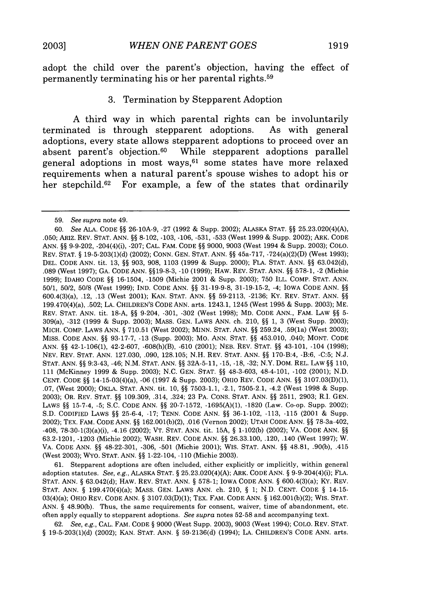adopt the child over the parent's objection, having the effect of permanently terminating his or her parental rights.59

## **3.** Termination **by** Stepparent Adoption

**A** third way in which parental rights can be involuntarily terminated is through stepparent adoptions. adoptions, every state allows stepparent adoptions to proceed over an absent parent's objection.<sup>60</sup> While stepparent adoptions parallel general adoptions in most ways,<sup>61</sup> some states have more relaxed requirements when a natural parent's spouse wishes to adopt his or her stepchild.<sup>62</sup> For example, a few of the states that ordinarily

61. Stepparent adoptions are often included, either explicitly or implicitly, within general adoption statutes. *See, e.g.,* ALASKA STAT. § 25.23.020(4)(A); ARK. CODE ANN. § 9-9-204(4)(i); FLA. **STAT.** ANN. § 63.042(d); HAW. REV. STAT. ANN. § 578-1; IOWA CODE ANN. § 600.4(3)(a); KY. REV. **STAT.** ANN. § 199.470(4)(a); MASS. GEN. LAWS ANN. ch. 210, § 1; N.D. CENT. CODE § 14-15- 03(4)(a); OHIO REV. CODE ANN. § 3107.03(D)(1); TEX. FAM. CODE ANN. § 162.001(b)(2); WIS. STAT. ANN. § 48.90(b). Thus, the same requirements for consent, waiver, time of abandonment, etc. often apply equally to stepparent adoptions. *See supra* notes 52-58 and accompanying text.

62. *See, e.g.,* CAL. FAM. CODE § 9000 (West Supp. 2003), 9003 (West 1994); COLO. REV. STAT. § 19-5-203(1)(d) (2002); KAN. STAT. ANN. § 59-2136(d) (1994); LA. CHILDREN'S CODE ANN. arts.

<sup>59.</sup> *See supra* note 49.

<sup>60.</sup> *See* ALA. CODE §§ 26-10A-9, -27 (1992 & Supp. 2002); ALASKA STAT. §§ 25.23.020(4)(A), .050; ARIZ. REV. STAT. ANN. §§ 8-102, -103, -106, -531, -533 (West 1999 & Supp. 2002); ARK. CODE ANN. §§ 9-9-202, -204(4)(i), -207; CAL. FAM. CODE §§ 9000, 9003 (West 1994 & Supp. 2003); COLO. REV. STAT. § 19-5-203(1)(d) (2002); CONN. GEN. STAT. ANN. §§ 45a-717, -724(a)(2)(D) (West 1993); DEL. CODE ANN. tit. 13, §§ 903, 908, 1103 (1999 & Supp. 2000); FLA. STAT. ANN. §§ 63.042(d), .089 (West 1997); GA. CODE ANN. §§19-8-3, -10 (1999); HAW. REV. STAT. ANN. §§ 578-1, -2 (Michie 1999); IDAHO CODE §§ 16-1504, -1509 (Michie 2001 & Supp. 2003); 750 ILL. COMP. STAT. ANN. 50/1, 50/2, 50/8 (West 1999); IND. CODE ANN. §§ 31-19-9-8, 31-19-15-2, -4; IOWA CODE ANN. §§ 600.4(3)(a), .12, .13 (West 2001); KAN. STAT. ANN. §§ 59-2113, -2136; KY. REV. STAT. ANN. §§ 199.470(4)(a), .502; LA. CHILDREN'S CODE ANN. arts. 1243.1, 1245 (West 1995 & Supp. 2003); ME. REV. STAT. ANN. tit. 18-A, §§ 9-204, -301, -302 (West 1998); MD. CODE ANN., FAM. LAW §§ 5- 309(a), -312 (1999 & Supp. 2003); MASS. GEN. LAWS ANN. ch. 210, §§ 1, 3 (West Supp. 2003); MICH. COMP. LAWS ANN. § 710.51 (West 2002); MINN. STAT. ANN. §§ 259.24, .59(la) (West 2003); MISS. CODE ANN. §§ 93-17-7, -13 (Supp. 2003); Mo. ANN. STAT. §§ 453.010, .040; MONT. CODE ANN. §§ 42-1-106(1), 42-2-607, -608(h)(B), -610 (2001); NEB. REV. STAT. §§ 43-101, -104 (1998); NEV. REV. STAT. ANN. 127.030, .090, 128.105; N.H. REV. STAT. ANN. §§ 170-B:4, -B:6, -C:5; N.J. **STAT.** ANN. §§ 9:3-43, -46; N.M. STAT. ANN. §§ 32A-5-11, -15, -18, -32; N.Y. DOM. REL. LAW §§ 110, 111 (McKinney 1999 & Supp. 2003); N.C. GEN. STAT. §§ 48-3-603, 48-4-101, -102 (2001); N.D. CENT. CODE §§ 14-15-03(4)(a), -06 (1997 & Supp. 2003); OHIO REV. CODE ANN. §§ 3107.03(D)(1), .07, (West 2000); OKLA. STAT. ANN. tit. 10, §§ 7503-1.1, -2.1, 7505-2.1, -4.2 (West 1998 & Supp. 2003); OR. REV. STAT. §§ 109.309, .314, .324; 23 PA. CONS. STAT. ANN. §§ 2511, 2903; R.I. GEN. LAWS §§ 15-7-4, -5; S.C. CODE ANN. §§ 20-7-1572, -1695(A)(1), -1820 (Law. Co-op. Supp. 2002); S.D. CODIFIED LAWS §§ 25-6-4, -17; TENN. CODE ANN. §§ 36-1-102, -113, -115 (2001 & Supp. 2002); TEX. FAM. CODE ANN. §§ 162.001(b)(2), .016 (Vernon 2002); UTAH CODE ANN. §§ 78-3a-402, -408, 78-30-1(3)(a)(i), -4.16 (2002); VT. STAT. ANN. tit. **15A,** § 1-102(b) (2002); VA. CODE ANN. §§ 63.2-1201, -1203 (Michie 2002); WASH. REV. CODE ANN. §§ 26.33.100, .120, .140 (West 1997); W. VA. CODE ANN. §§ 48-22-301, -306, -501 (Michie 2001); WIS. STAT. ANN. §§ 48.81, .90(b), .415 (West 2003); WYO. STAT. ANN. §§ 1-22-104, -110 (Michie 2003).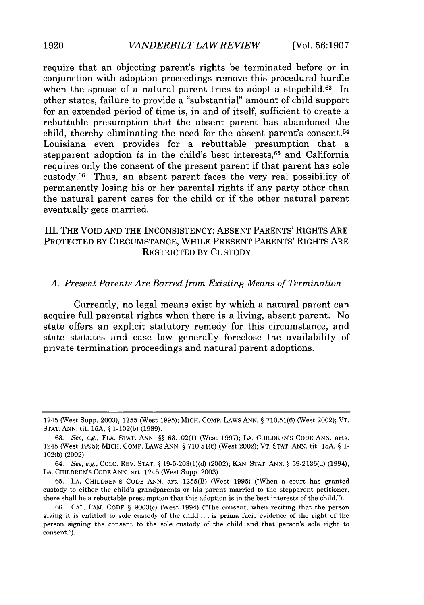require that an objecting parent's rights be terminated before or in conjunction with adoption proceedings remove this procedural hurdle when the spouse of a natural parent tries to adopt a stepchild.<sup>63</sup> In other states, failure to provide a "substantial" amount of child support for an extended period of time is, in and of itself, sufficient to create a rebuttable presumption that the absent parent has abandoned the child, thereby eliminating the need for the absent parent's consent. <sup>64</sup> Louisiana even provides for a rebuttable presumption that a stepparent adoption is in the child's best interests, $65$  and California requires only the consent of the present parent if that parent has sole custody. 66 Thus, an absent parent faces the very real possibility of permanently losing his or her parental rights if any party other than the natural parent cares for the child or if the other natural parent eventually gets married.

## III. THE VOID AND THE INCONSISTENCY: ABSENT PARENTS' RIGHTS ARE PROTECTED BY CIRCUMSTANCE, WHILE PRESENT PARENTS' RIGHTS ARE RESTRICTED BY CUSTODY

## *A. Present Parents Are Barred from Existing Means of Termination*

Currently, no legal means exist by which a natural parent can acquire full parental rights when there is a living, absent parent. No state offers an explicit statutory remedy for this circumstance, and state statutes and case law generally foreclose the availability of private termination proceedings and natural parent adoptions.

<sup>1245 (</sup>West Supp. 2003), 1255 (West 1995); MICH. COMP. LAWS ANN. § 710.51(6) (West 2002); VT. **STAT.** ANN. tit. 15A, § 1-102(b) (1989).

<sup>63.</sup> See, e.g., FLA. STAT. ANN. §§ 63.102(1) (West 1997); LA. CHILDREN'S CODE ANN. arts. 1245 (West 1995); MICH. COMP. LAWS ANN. § 710.51(6) (West 2002); VT. STAT. ANN. tit. **15A,** § 1- 102(b) (2002).

<sup>64.</sup> See, e.g., COLO. REV. STAT. § 19-5-203(1)(d) (2002); KAN. STAT. ANN. § 59-2136(d) (1994); LA. CHILDREN'S CODE ANN. art. 1245 (West Supp. 2003).

<sup>65.</sup> LA. CHILDREN'S CODE ANN. art. 1255(B) (West 1995) ("When a court has granted custody to either the child's grandparents or his parent married to the stepparent petitioner, there shall be a rebuttable presumption that this adoption is in the best interests of the child.").

<sup>66.</sup> CAL. FAM. CODE § 9003(c) (West 1994) ("The consent, when reciting that the person giving it is entitled to sole custody of the child **...** is prima facie evidence of the right of the person signing the consent to the sole custody of the child and that person's sole right to consent.").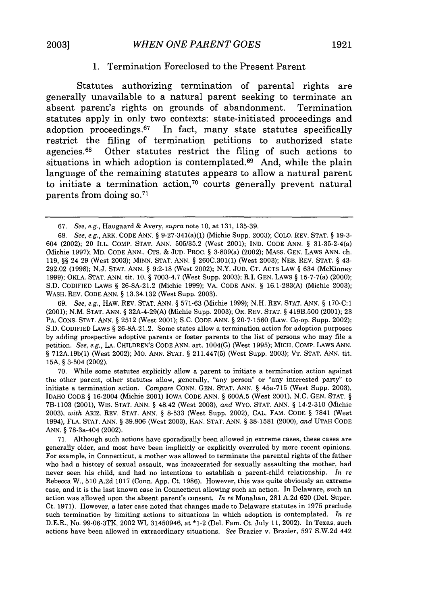## **1.** Termination Foreclosed to the Present Parent

Statutes authorizing termination of parental rights are generally unavailable to a natural parent seeking to terminate an absent parent's rights on grounds of abandonment. Termination statutes apply in only two contexts: state-initiated proceedings and adoption proceedings.<sup>67</sup> In fact, many state statutes specifically restrict the filing of termination petitions to authorized state agencies.68 Other statutes restrict the filing of such actions to situations in which adoption is contemplated. $69$  And, while the plain language of the remaining statutes appears to allow a natural parent to initiate a termination action, 70 courts generally prevent natural parents from doing **so. <sup>71</sup>**

69. *See, e.g.,* HAW. REV. STAT. ANN. § 571-63 (Michie 1999); N.H. REV. STAT. ANN. § 170-C:1 (2001); N.M. STAT. ANN. § 32A-4-29(A) (Michie Supp. 2003); OR. REV. STAT. § 419B.500 (2001); 23 PA. CONS. STAT. ANN. § 2512 (West 2001); S.C. CODE ANN. § 20-7-1560 (Law. Co-op. Supp. 2002); **S.D.** CODIFIED LAWS § 26-8A-21.2. Some states allow a termination action for adoption purposes by adding prospective adoptive parents or foster parents to the list of persons who may file a petition. *See, e.g.,* LA. CHILDREN'S CODE ANN. art. 1004(G) (West 1995); MICH. COMP. LAWS ANN. § 712A.19b(1) (West 2002); MO. ANN. STAT. § 211.447(5) (West Supp. 2003); VT. STAT. ANN. tit. **15A,** § 3-504 (2002).

70. While some statutes explicitly allow a parent to initiate a termination action against the other parent, other statutes allow, generally, "any person" or "any interested party" to initiate a termination action. *Compare* CONN. GEN. STAT. ANN. § 45a-715 (West Supp. 2003), IDAHO CODE § 16-2004 (Michie 2001) IOWA CODE ANN. § 600A.5 (West 2001), N.C. GEN. STAT. § 7B-1103 (2001), WIS. STAT. ANN. § 48.42 (West 2003), *and* WYO. STAT. ANN. § 14-2-310 (Michie 2003), *with* ARIZ. REV. STAT. ANN. § 8-533 (West Supp. 2002), CAL. FAM. CODE § 7841 (West 1994), FLA. STAT. ANN. § 39.806 (West 2003), KAN. STAT. ANN. § 38-1581 (2000), *and* UTAH CODE ANN. § 78-3a-404 (2002).

71. Although such actions have sporadically been allowed in extreme cases, these cases are generally older, and most have been implicitly or explicitly overruled by more recent opinions. For example, in Connecticut, a mother was allowed to terminate the parental rights of the father who had a history of sexual assault, was incarcerated for sexually assaulting the mother, had never seen his child, and had no intentions to establish a parent-child relationship. *In re* Rebecca W., 510 A.2d 1017 (Conn. App. Ct. 1986). However, this was quite obviously an extreme case, and it is the last known case in Connecticut allowing such an action. In Delaware, such an action was allowed upon the absent parent's consent. *In re* Monahan, 281 A.2d 620 (Del. Super. Ct. 1971). However, a later case noted that changes made to Delaware statutes in 1975 preclude such termination by limiting actions to situations in which adoption is contemplated. *In re* D.E.R., No. 99-06-3TK, 2002 WL 31450946, at \*1-2 (Del. Fam. Ct. July 11, 2002). In Texas, such actions have been allowed in extraordinary situations. *See* Brazier v. Brazier, 597 S.W.2d 442

<sup>67.</sup> *See, e.g.,* Haugaard & Avery, *supra* note 10, at 131, 135-39.

<sup>68.</sup> *See, e.g.,* ARK. CODE ANN. § 9-27-341(a)(1) (Michie Supp. 2003); COLO. REV. STAT. § 19-3- 604 (2002); 20 ILL. COMP. STAT. ANN. 505/35.2 (West 2001); IND. CODE ANN. § 31-35-2-4(a) (Michie 1997); MD. CODE ANN., CTS. & JUD. PROC. § 3-809(a) (2002); MASS. GEN. LAWS ANN. ch. 119, §§ 24 29 (West 2003); MINN. STAT. ANN. § 260C.301(1) (West 2003); NEB. REV. STAT. § 43- 292.02 (1998); N.J. STAT. ANN. § 9:2-18 (West 2002); N.Y. JUD. CT. ACTS LAW § 634 (McKinney 1999); OKLA. STAT. ANN. tit. 10, § 7003-4.7 (West Supp. 2003); R.I. GEN. LAWS § 15-7-7(a) (2000); S.D. CODIFIED LAWS § 26-8A-21.2 (Michie 1999); VA. CODE ANN. § 16.1-283(A) (Michie 2003); WASH. REV. CODE ANN. § 13.34.132 (West Supp. 2003).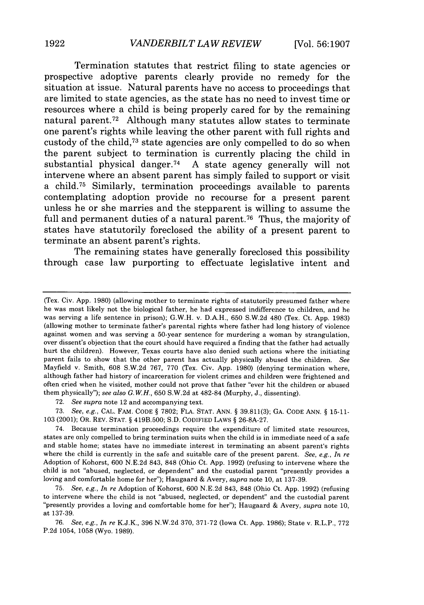Termination statutes that restrict filing to state agencies or prospective adoptive parents clearly provide no remedy for the situation at issue. Natural parents have no access to proceedings that are limited to state agencies, as the state has no need to invest time or resources where a child is being properly cared for **by** the remaining natural parent.<sup>72</sup> Although many statutes allow states to terminate one parent's rights while leaving the other parent with full rights and custody of the child,<sup>73</sup> state agencies are only compelled to do so when the parent subject to termination is currently placing the child in substantial physical danger. <sup>74</sup>**A** state agency generally will not intervene where an absent parent has simply failed to support or visit a child.75 Similarly, termination proceedings available to parents contemplating adoption provide no recourse for a present parent unless he or she marries and the stepparent is willing to assume the full and permanent duties of a natural parent.<sup>76</sup> Thus, the majority of states have statutorily foreclosed the ability of a present parent to terminate an absent parent's rights.

The remaining states have generally foreclosed this possibility through case law purporting to effectuate legislative intent and

72. *See supra* note 12 and accompanying text.

73. *See, e.g.,* **CAL.** FAM. **CODE** § 7802; FLA. STAT. ANN. § 39.811(3); **GA. CODE** ANN. § 15-11- 103 (2001); OR. REV. STAT. § 419B.500; S.D. CODIFIED LAWS § 26-8A-27.

74. Because termination proceedings require the expenditure of limited state resources, states are only compelled to bring termination suits when the child is in immediate need of a safe and stable home; states have no immediate interest in terminating an absent parent's rights where the child is currently in the safe and suitable care of the present parent. *See, e.g., In re* Adoption of Kohorst, 600 N.E.2d 843, 848 (Ohio Ct. App. 1992) (refusing to intervene where the child is not "abused, neglected, or dependent" and the custodial parent "presently provides a loving and comfortable home for her"); Haugaard & Avery, *supra* note 10, at 137-39.

75. *See, e.g., In re* Adoption of Kohorst, 600 N.E.2d 843, 848 (Ohio Ct. App. 1992) (refusing to intervene where the child is not "abused, neglected, or dependent" and the custodial parent "presently provides a loving and comfortable home for her"); Haugaard & Avery, *supra* note 10, at 137-39.

76. *See, e.g., In re* K.J.K., 396 N.W.2d 370, 371-72 (Iowa Ct. App. 1986); State v. R.L.P., 772 P.2d 1054, 1058 (Wyo. 1989).

<sup>(</sup>Tex. Civ. App. 1980) (allowing mother to terminate rights of statutorily presumed father where he was most likely not the biological father, he had expressed indifference to children, and he was serving a life sentence in prison); G.W.H. v. D.A.H., 650 S.W.2d 480 (Tex. Ct. App. 1983) (allowing mother to terminate father's parental rights where father had long history of violence against women and was serving a 50-year sentence for murdering a woman by strangulation, over dissent's objection that the court should have required a finding that the father had actually hurt the children). However, Texas courts have also denied such actions where the initiating parent fails to show that the other parent has actually physically abused the children. *See* Mayfield v. Smith, 608 S.W.2d 767, 770 (Tex. Civ. App. 1980) (denying termination where, although father had history of incarceration for violent crimes and children were frightened and often cried when he visited, mother could not prove that father "ever hit the children or abused them physically"); *see also G.W.H.,* 650 S.W.2d at 482-84 (Murphy, J., dissenting).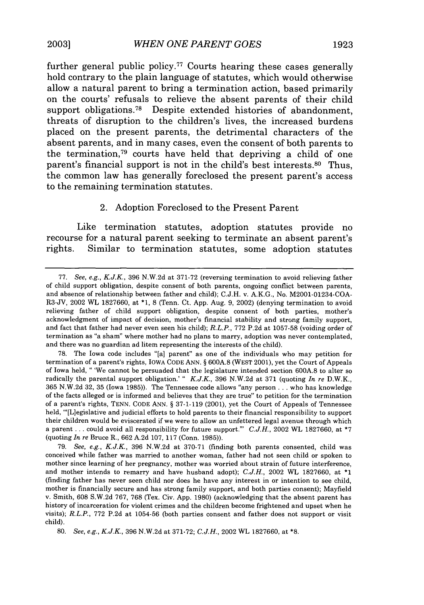further general public policy.<sup>77</sup> Courts hearing these cases generally hold contrary to the plain language of statutes, which would otherwise allow a natural parent to bring a termination action, based primarily on the courts' refusals to relieve the absent parents of their child support obligations.<sup>78</sup> Despite extended histories of abandonment, threats of disruption to the children's lives, the increased burdens placed on the present parents, the detrimental characters of the absent parents, and in many cases, even the consent of both parents to the termination,<sup> $79$ </sup> courts have held that depriving a child of one parent's financial support is not in the child's best interests.<sup>80</sup> Thus, the common law has generally foreclosed the present parent's access to the remaining termination statutes.

## 2. Adoption Foreclosed to the Present Parent

Like termination statutes, adoption statutes provide no recourse for a natural parent seeking to terminate an absent parent's rights. Similar to termination statutes, some adoption statutes

<sup>77.</sup> *See, e.g., K.J.K.,* 396 N.W.2d at 371-72 (reversing termination to avoid relieving father of child support obligation, despite consent of both parents, ongoing conflict between parents, and absence of relationship between father and child); C.J.H. v. A.K.G., No. M2001-01234-COA-R3-JV, 2002 WL 1827660, at \*1, 8 (Tenn. Ct. App. Aug. 9, 2002) (denying termination to avoid relieving father of child support obligation, despite consent of both parties, mother's acknowledgment of impact of decision, mother's financial stability and strong family support, and fact that father had never even seen his child); *R.L.P.,* 772 P.2d at 1057-58 (voiding order of termination as "a sham" where mother had no plans to marry, adoption was never contemplated, and there was no guardian ad litem representing the interests of the child).

<sup>78.</sup> The Iowa code includes "[a] parent" as one of the individuals who may petition for termination of a parent's rights, IOWA CODE ANN. § 600A.8 (WEST 2001), yet the Court of Appeals of Iowa held, " 'We cannot be persuaded that the legislature intended section 600A.8 to alter so radically the parental support obligation.' " *K.J.K,* 396 N.W.2d at 371 (quoting *In re* D.W.K., 365 N.W.2d 32, 35 (Iowa 1985)). The Tennessee code allows "any person **...** who has knowledge of the facts alleged or is informed and believes that they are true" to petition for the termination of a parent's rights, TENN. CODE ANN. § 37-1-119 (2001), yet the Court of Appeals of Tennessee held, "'[L]egislative and judicial efforts to hold parents to their financial responsibility to support their children would be eviscerated if we were to allow an unfettered legal avenue through which a parent **...** could avoid all responsibility for future support."' *C.J.H.,* 2002 WL 1827660, at \*7 (quoting *In re* Bruce R., 662 A.2d 107, 117 (Conn. 1985)).

<sup>79.</sup> *See, e.g., K.J.K.,* 396 N.W.2d at 370-71 (finding both parents consented, child was conceived while father was married to another woman, father had not seen child or spoken to mother since learning of her pregnancy, mother was worried about strain of future interference, and mother intends to remarry and have husband adopt); *C.J.H.,* 2002 WL 1827660, at \*1 (finding father has never seen child nor does he have any interest in or intention to see child, mother is financially secure and has strong family support, and both parties consent); Mayfield v. Smith, 608 S.W.2d 767, 768 (Tex. Civ. App. 1980) (acknowledging that the absent parent has history of incarceration for violent crimes and the children become frightened and upset when he visits); *R.L.P.,* 772 P.2d at 1054-56 (both parties consent and father does not support or visit child).

<sup>80.</sup> *See, e.g., K.J.K.,* 396 N.W.2d at 371-72; *C.J.H.,* 2002 WL 1827660, at **\*8.**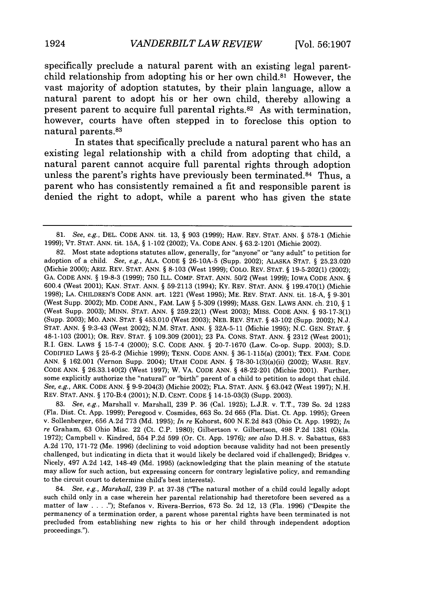specifically preclude a natural parent with an existing legal parentchild relationship from adopting his or her own child. $81$  However, the vast majority of adoption statutes, **by** their plain language, allow a natural parent to adopt his or her own child, thereby allowing a present parent to acquire full parental rights.<sup>82</sup> As with termination, however, courts have often stepped in to foreclose this option to natural parents.<sup>83</sup>

In states that specifically preclude a natural parent who has an existing legal relationship with a child from adopting that child, a natural parent cannot acquire full parental rights through adoption unless the parent's rights have previously been terminated.<sup>84</sup> Thus, a parent who has consistently remained a fit and responsible parent is denied the right to adopt, while a parent who has given the state

<sup>81.</sup> *See, e.g.,* DEL. CODE ANN. tit. 13, § 903 (1999); HAW. REV. STAT. ANN. § 578-1 (Michie 1999); VT. STAT. ANN. tit. **15A,** § 1-102 (2002); VA. CODE ANN. § 63.2-1201 (Michie 2002).

<sup>82.</sup> Most state adoptions statutes allow, generally, for "anyone" or "any adult" to petition for adoption of a child. *See, e.g.,* ALA. CODE § 26-10A-5 (Supp. 2002); ALASKA STAT. § 25.23.020 (Michie 2000); ARIZ. REV. STAT. ANN. § 8-103 (West 1999); COLO. REV. STAT. § 19-5-202(1) (2002); GA. CODE ANN. § 19-8-3 (1999); 750 ILL. COMP. STAT. ANN. 50/2 (West 1999); IOWA CODE ANN. § 600.4 (West 2001); KAN. STAT. ANN. § 59-2113 (1994); KY. REV. STAT. ANN. § 199.470(1) (Michie 1998); LA. CHILDREN'S CODE ANN. art. 1221 (West 1995); ME. REV. STAT. ANN. tit. 18-A, § 9-301 (West Supp. 2002); MD. CODE ANN., FAM. LAW § 5-309 (1999); MASS. GEN. LAWS ANN. ch. 210, § 1 (West Supp. 2003); MINN. STAT. ANN. § 259.22(1) (West 2003); MISS. CODE ANN. § 93-17-3(1) (Supp. 2003); Mo. ANN. STAT. § 453.010 (West 2003); NEB. REV. STAT. § 43-102 (Supp. 2002); N.J. **STAT.** ANN. § 9:3-43 (West 2002); N.M. STAT. ANN. § 32A-5-11 (Michie 1995); N.C. GEN. STAT. § 48-1-103 (2001); OR. REV. STAT. § 109.309 (2001); 23 PA. CONS. STAT. ANN. § 2312 (West 2001); R.I. GEN. LAWS § 15-7-4 (2000); S.C. CODE ANN. § 20-7-1670 (Law. Co-op. Supp. 2003); S.D. CODIFIED LAWS § 25-6-2 (Michie 1999); TENN. CODE ANN. § 36-1-115(a) (2001); TEX. FAM. CODE ANN. § 162.001 (Vernon Supp. 2004); UTAH CODE ANN. § 78-30-1(3)(a)(ii) (2002); WASH. REV. CODE ANN. § 26.33.140(2) (West 1997); W. VA. CODE ANN. § 48-22-201 (Michie 2001). Further, some explicitly authorize the "natural" or "birth" parent of a child to petition to adopt that child. *See, e.g.,* ARK. CODE ANN. § 9-9-204(3) (Michie 2002); FLA. STAT. ANN. § 63.042 (West 1997); N.H. REV. STAT. ANN. § 170-B:4 (2001); N.D. CENT. CODE § 14-15-03(3) (Supp. 2003).

<sup>83.</sup> *See, e.g.,* Marshall v. Marshall, 239 P. 36 (Cal. 1925); L.J.R. v. T.T., 739 So. 2d 1283 (Fla. Dist. Ct. App. 1999); Peregood v. Cosmides, 663 So. 2d 665 (Fla. Dist. Ct. App. 1995); Green v. Sollenberger, 656 A.2d 773 (Md. 1995); *In re* Kohorst, 600 N.E.2d 843 (Ohio Ct. App. 1992); *In re* Graham, 63 Ohio Misc. 22 (Ct. C.P. 1980); Gilbertson v. Gilbertson, 498 P.2d 1381 (Okla. 1972); Campbell v. Kindred, 554 P.2d 599 (Or. Ct. App. 1976); *see also* D.H.S. v. Sabattus, 683 A.2d 170, 171-72 (Me. 1996) (declining to void adoption because validity had not been presently challenged, but indicating in dicta that it would likely be declared void if challenged); Bridges v. Nicely, 497 A.2d 142, 148-49 (Md. 1995) (acknowledging that the plain meaning of the statute may allow for such action, but expressing concern for contrary legislative policy, and remanding to the circuit court to determine child's best interests).

<sup>84.</sup> *See, e.g., Marshall,* 239 P. at 37-38 ('The natural mother of a child could legally adopt such child only in a case wherein her parental relationship had theretofore been severed as a matter of law **.... ");** Stefanos v. Rivera-Berrios, 673 So. 2d 12, 13 (Fla. 1996) ("Despite the permanency of a termination order, a parent whose parental rights have been terminated is not precluded from establishing new rights to his or her child through independent adoption proceedings.").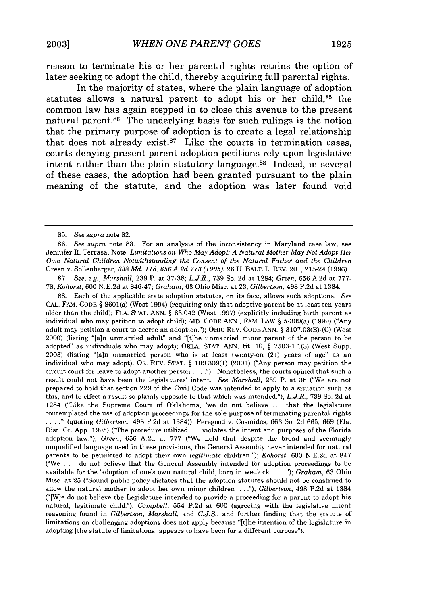reason to terminate his or her parental rights retains the option of later seeking to adopt the child, thereby acquiring full parental rights.

In the majority of states, where the plain language of adoption statutes allows a natural parent to adopt his or her child, $85$  the common law has again stepped in to close this avenue to the present natural parent.86 The underlying basis for such rulings is the notion that the primary purpose of adoption is to create a legal relationship that does not already exist. $87$  Like the courts in termination cases, courts denying present parent adoption petitions rely upon legislative intent rather than the plain statutory language.<sup>88</sup> Indeed, in several of these cases, the adoption had been granted pursuant to the plain meaning of the statute, and the adoption was later found void

87. *See, e.g., Marshall,* 239 P. at 37-38; *L.J.R.,* 739 So. 2d at 1284; *Green,* 656 A.2d at 777- 78; *Kohorst,* 600 N.E.2d at 846-47; *Graham,* 63 Ohio Misc. at 23; *Gilbertson,* 498 P.2d at 1384.

88. Each of the applicable state adoption statutes, on its face, allows such adoptions. *See* CAL. FAM. CODE § 8601(a) (West 1994) (requiring only that adoptive parent be at least ten years older than the child); FLA. STAT. ANN. § 63.042 (West 1997) (explicitly including birth parent as individual who may petition to adopt child); MD. CODE ANN., FAM. LAW § 5-309(a) (1999) ("Any adult may petition a court to decree an adoption."); OHIO REV. CODE ANN. § 3107.03(B)-(C) (West 2000) (listing "[a]n unmarried adult" and "[t]he unmarried minor parent of the person to be adopted" as individuals who may adopt); OKLA. STAT. ANN. tit. 10, § 7503-1.1(3) (West Supp. 2003) (listing "[a]n unmarried person who is at least twenty-on (21) years of age" as an individual who may adopt); OR. REV. STAT. § 109.309(1) (2001) ("Any person may petition the circuit court for leave to adopt another person **....").** Nonetheless, the courts opined that such a result could not have been the legislatures' intent. *See Marshall,* 239 P. at 38 ("We are not prepared to hold that section 229 of the Civil Code was intended to apply to a situation such as this, and to effect a result so plainly opposite to that which was intended."); *L.J.R.,* 739 So. 2d at 1284 ("Like the Supreme Court of Oklahoma, 'we do not believe ... that the legislature contemplated the use of adoption proceedings for the sole purpose of terminating parental rights **.... "** (quoting *Gilbertson,* 498 P.2d at 1384)); Peregood v. Cosmides, 663 So. 2d 665, 669 (Fla. Dist. Ct. App. 1995) ("The procedure utilized ... violates the intent and purposes of the Florida adoption law."); *Green,* 656 A.2d at 777 ("We hold that despite the broad and seemingly unqualified language used in these provisions, the General Assembly never intended for natural parents to be permitted to adopt their own *legitimate* children."); *Kohorst,* 600 N.E.2d at 847 ("We .**.**.do not believe that the General Assembly intended for adoption proceedings to be available for the 'adoption' of one's own natural child, born in wedlock **....** *); Graham,* 63 Ohio Misc. at 25 ("Sound public policy dictates that the adoption statutes should not be construed to allow the natural mother to adopt her own minor children **...");** *Gilbertson,* 498 P.2d at 1384 ("[Wge do not believe the Legislature intended to provide a proceeding for a parent to adopt his natural, legitimate child."); *Campbell,* 554 P.2d at 600 (agreeing with the legislative intent reasoning found in *Gilbertson, Marshall,* and *C.J.S.,* and further finding that the statute of limitations on challenging adoptions does not apply because "[tihe intention of the legislature in adopting [the statute of limitations] appears to have been for a different purpose").

<sup>85.</sup> *See supra* note 82.

<sup>86.</sup> *See supra* note 83. For an analysis of the inconsistency in Maryland case law, see Jennifer R. Terrasa, Note, *Limitations on Who May Adopt: A Natural Mother May Not Adopt Her Own Natural Children Notwithstanding the Consent of the Natural Father and the Children* Green v. Sollenberger, *338 Md. 118, 656 A.2d 773 (1995),* 26 U. BALT. L. REV. 201, 215-24 (1996).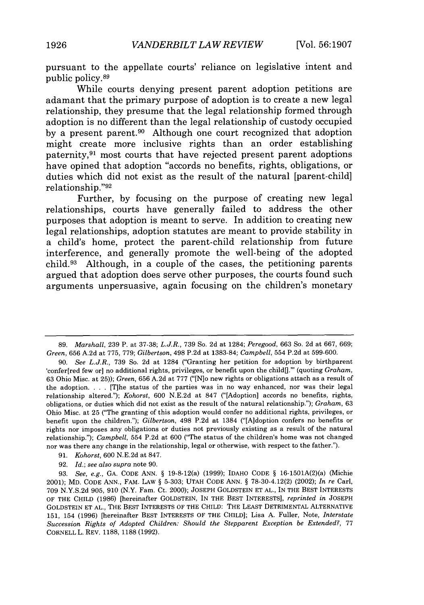pursuant to the appellate courts' reliance on legislative intent and public policy.<sup>89</sup>

While courts denying present parent adoption petitions are adamant that the primary purpose of adoption is to create a new legal relationship, they presume that the legal relationship formed through adoption is no different than the legal relationship of custody occupied **by** a present parent.90 Although one court recognized that adoption might create more inclusive rights than an order establishing paternity, 91 most courts that have rejected present parent adoptions have opined that adoption "accords no benefits, rights, obligations, or duties which did not exist as the result of the natural [parent-child] relationship. **"92**

Further, **by** focusing on the purpose of creating new legal relationships, courts have generally failed to address the other purposes that adoption is meant to serve. In addition to creating new legal relationships, adoption statutes are meant to provide stability in a child's home, protect the parent-child relationship from future interference, and generally promote the well-being of the adopted child. 93 Although, in a couple of the cases, the petitioning parents argued that adoption does serve other purposes, the courts found such arguments unpersuasive, again focusing on the children's monetary

<sup>89.</sup> *Marshall,* 239 P. at 37-38; *L.J.R.,* 739 So. 2d at 1284; *Peregood,* 663 So. 2d at 667, 669; *Green,* 656 A.2d at 775, 779; *Gilbertson,* 498 P.2d at 1383-84; *Campbell,* 554 P.2d at 599-600.

<sup>90.</sup> *See L.J.R.,* 739 So. 2d at 1284 ("Granting her petition for adoption **by** birthparent 'confer[red few or] no additional rights, privileges, or benefit upon the child[]."' (quoting *Graham*, 63 Ohio Misc. at **25));** *Green,* 656 A.2d at 777 ("[N]o new rights or obligations attach as a result of the adoption. . **.** . [T]he status of the parties was in no way enhanced, nor was their legal relationship altered."); *Kohorst,* 600 N.E.2d at 847 ("[Adoption] accords no benefits, rights, obligations, or duties which did not exist as the result of the natural relationship."); *Graham,* 63 Ohio Misc. at 25 ("The granting of this adoption would confer no additional rights, privileges, **or** benefit upon the children."); *Gilbertson,* 498 P.2d at 1384 ("[Ajdoption confers no benefits or rights nor imposes any obligations or duties not previously existing as a result of the natural relationship."); *Campbell,* 554 P.2d at 600 ("The status of the children's home was not changed nor was there any change in the relationship, legal or otherwise, with respect to the father.").

<sup>91.</sup> *Kohorst,* 600 N.E.2d at 847.

<sup>92.</sup> *Id.; see also supra* note 90.

<sup>93.</sup> *See, e.g.,* GA. CODE ANN. § 19-8-12(a) (1999); IDAHO CODE § 16-1501A(2)(a) (Michie 2001); MD. CODE ANN., FAM. LAW § 5-303; UTAH CODE ANN. § 78-30-4.12(2) (2002); *In re* Carl, 709 N.Y.S.2d 905, 910 (N.Y. Fam. Ct. 2000); JOSEPH GOLDSTEIN ET AL., IN THE BEST INTERESTS OF THE CHILD (1986) [hereinafter GOLDSTEIN, IN THE BEST INTERESTS], *reprinted in* JOSEPH GOLDSTEIN ET AL., THE BEST INTERESTS OF THE CHILD: THE LEAST DETRIMENTAL ALTERNATIVE 151, 154 (1996) [hereinafter BEST INTERESTS OF THE CHILD]; Lisa **A.** Fuller, Note, *Interstate* Succession Rights of Adopted Children: Should the Stepparent Exception be Extended?, 77 CORNELL L. REV. 1188, 1188 (1992).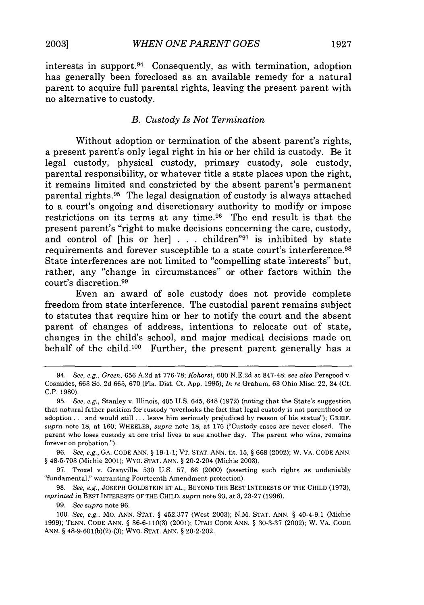interests in support. 94 Consequently, as with termination, adoption has generally been foreclosed as an available remedy for a natural parent to acquire full parental rights, leaving the present parent with no alternative to custody.

#### *B. Custody Is Not Termination*

Without adoption or termination of the absent parent's rights, a present parent's only legal right in his or her child is custody. Be it legal custody, physical custody, primary custody, sole custody, parental responsibility, or whatever title a state places upon the right, it remains limited and constricted by the absent parent's permanent parental rights.95 The legal designation of custody is always attached to a court's ongoing and discretionary authority to modify or impose restrictions on its terms at any time.96 The end result is that the present parent's "right to make decisions concerning the care, custody, and control of [his or her] **. . .** children"97 is inhibited by state requirements and forever susceptible to a state court's interference. <sup>98</sup> State interferences are not limited to "compelling state interests" but, rather, any "change in circumstances" or other factors within the court's discretion.<sup>99</sup>

Even an award of sole custody does not provide complete freedom from state interference. The custodial parent remains subject to statutes that require him or her to notify the court and the absent parent of changes of address, intentions to relocate out of state, changes in the child's school, and major medical decisions made on behalf of the child.<sup>100</sup> Further, the present parent generally has a

<sup>94.</sup> *See, e.g., Green,* 656 A.2d at 776-78; *Kohorst,* 600 N.E.2d at 847-48; *see also* Peregood v. Cosmides, 663 So. 2d 665, 670 (Fla. Dist. Ct. App. 1995); *In re* Graham, 63 Ohio Misc. 22, 24 (Ct. C.P. 1980).

<sup>95.</sup> *See, e.g.,* Stanley v. Illinois, 405 U.S. 645, 648 (1972) (noting that the State's suggestion that natural father petition for custody "overlooks the fact that legal custody is not parenthood or adoption **...** and would still **...** leave him seriously prejudiced by reason of his status"); GREIF, *supra* note 18, at 160; WHEELER, *supra* note 18, at 176 ("Custody cases are never closed. The parent who loses custody at one trial lives to sue another day. The parent who wins, remains forever on probation.").

<sup>96.</sup> *See, e.g.,* GA. CODE ANN. **§** 19-1-1; VT. STAT. ANN. tit. 15, **§** 668 (2002);W. VA. CODE ANN. § 48-5-703 (Michie 2001); WYO. STAT. ANN. § 20-2-204 (Michie 2003).

<sup>97.</sup> Troxel v. Granville, 530 U.S. 57, 66 (2000) (asserting such rights as undeniably "fundamental," warranting Fourteenth Amendment protection).

<sup>98.</sup> *See, e.g.,* JOSEPH GOLDSTEIN ET AL., BEYOND THE BEST INTERESTS OF THE CHILD (1973), *reprinted in* BEST INTERESTS OF THE CHILD, *supra* note 93, at 3, 23-27 (1996).

<sup>99.</sup> *See supra* note 96.

<sup>100.</sup> *See, e.g.,* Mo. ANN. STAT. § 452.377 (West 2003); N.M. STAT. ANN. § 40-4-9.1 (Michie 1999); TENN. CODE ANN. § 36-6-110(3) (2001); UTAH CODE ANN. § 30-3-37 (2002); W. VA. CODE ANN. § 48-9.601(b)(2)-(3); WYO. STAT. ANN. § 20-2-202.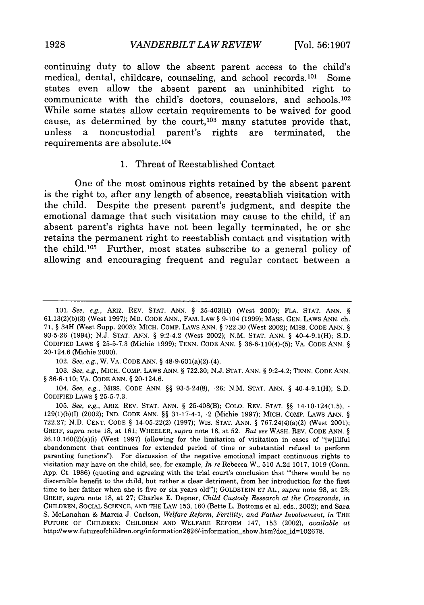continuing duty to allow the absent parent access to the child's medical, dental, childcare, counseling, and school records.<sup>101</sup> Some states even allow the absent parent an uninhibited right to communicate with the child's doctors, counselors, and schools.<sup>102</sup> **While** some states allow certain requirements to be waived for good cause, as determined by the court,<sup>103</sup> many statutes provide that, unless a noncustodial parent's rights are terminated, the requirements are absolute. <sup>104</sup>

#### **1.** Threat of Reestablished Contact

One of the most ominous rights retained **by** the absent parent is the right to, after any length of absence, reestablish visitation with the child. Despite the present parent's judgment, and despite the emotional damage that such visitation may cause to the child, if an absent parent's rights have not been legally terminated, he or she retains the permanent right to reestablish contact and visitation with the child.<sup>105</sup> Further, most states subscribe to a general policy of allowing and encouraging frequent and regular contact between a

102. *See, e.g.,* W. VA. CODE ANN. § 48-9-601(a)(2)-(4).

103. *See,* e.g., MICH. COMP. LAWS ANN. § 722.30; N.J. STAT. ANN. § 9:2-4.2; TENN. CODE ANN. § 36-6-110; VA. CODE ANN. § 20-124.6.

104. *See, e.g.,* MISS. CODE ANN. §§ 93-5-24(8), -26; N.M. STAT. ANN. § 40-4-9.1(H); S.D. CODIFIED LAWS § 25-5-7.3.

105. *See, e.g.,* ARIZ. REV. STAT. ANN. § 25-408(B); COLO. REV. STAT. §§ 14-10-124(1.5), - 129(1)(b)(I) (2002); IND. CODE ANN. §§ 31-17-4-1, -2 (Michie 1997); MICH. COMP. LAWS ANN. § 722.27; N.D. CENT. CODE § 14-05.22(2) (1997); WIS. STAT. ANN. § 767.24(4)(a)(2) (West 2001); GREIF, *supra* note 18, at 161; WHEELER, *supra* note 18, at 52. *But see* WASH. REV. CODE ANN. § 26.10.160(2)(a)(i) (West 1997) (allowing for the limitation of visitation in cases of "[w]illful abandonment that continues for extended period of time or substantial refusal to perform parenting functions"). For discussion of the negative emotional impact continuous rights to visitation may have on the child, see, for example, *In re* Rebecca W., 510 A.2d 1017, 1019 (Conn. App. Ct. 1986) (quoting and agreeing with the trial court's conclusion that "there would be no discernible benefit to the child, but rather a clear detriment, from her introduction for the first time to her father when she is five or six years old"); GOLDSTEIN ET AL., *supra* note 98, at 23; GREIF, *supra* note 18, at 27; Charles E. Depner, *Child Custody Research at the Crossroads, in* CHILDREN, SOCIAL SCIENCE, AND THE LAW 153, 160 (Bette L. Bottoms et al. eds., 2002); and Sara S. McLanahan & Marcia J. Carlson, *Welfare Reform, Fertility, and Father Involvement, in* THE FUTURE OF CHILDREN: CHILDREN AND WELFARE REFORM 147, 153 (2002), *available at* http://www.futureofchildren.org/information2826/-information-show.htm?doc-id=102678.

1928

<sup>101.</sup> *See,* e.g., ARIZ. REV. STAT. ANN. § 25-403(H) (West 2000); FLA. STAT. ANN. § 61.13(2)(b)(3) (West 1997); MD. CODE ANN., FAM. LAW § 9-104 (1999); MASS. GEN. LAWS ANN. ch. 71, § 34H (West Supp. 2003); MICH. COMP. LAWS ANN. § 722.30 (West 2002); MiSS. CODE ANN. § 93-5-26 (1994); N.J. STAT. ANN. § 9:2-4.2 (West 2002); N.M. STAT. ANN. § 40-4-9.1(H); S.D. CODIFIED LAWS § 25-5-7.3 (Michie 1999); TENN. CODE ANN. § 36-6-110(4)-(5); VA. CODE ANN. § 20-124.6 (Michie 2000).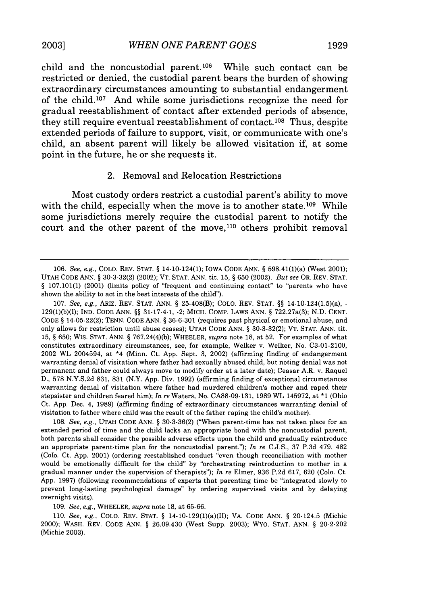child and the noncustodial parent.<sup>106</sup> While such contact can be restricted or denied, the custodial parent bears the burden of showing extraordinary circumstances amounting to substantial endangerment of the child.<sup>107</sup> And while some jurisdictions recognize the need for gradual reestablishment of contact after extended periods of absence, they still require eventual reestablishment of contact.<sup>108</sup> Thus, despite extended periods of failure to support, visit, or communicate with one's child, an absent parent will likely be allowed visitation if, at some point in the future, he or she requests it.

#### 2. Removal and Relocation Restrictions

Most custody orders restrict a custodial parent's ability to move with the child, especially when the move is to another state.<sup>109</sup> While some jurisdictions merely require the custodial parent to notify the court and the other parent of the move,<sup>110</sup> others prohibit removal

107. *See, e.g.,* ARIZ. REV. STAT. ANN. § 25-408(B); COLO. REV. STAT. §§ 14-10-124(1.5)(a), - 129(1)(b)(1); IND. CODE ANN. §§ 31-17-4-1, -2; MICH. COMP. LAWS ANN. § 722.27a(3); N.D. CENT. CODE § 14-05-22(2); TENN. CODE ANN. § 36-6-301 (requires past physical or emotional abuse, and only allows for restriction until abuse ceases); UTAH CODE ANN. § 30-3-32(2); VT. STAT. ANN. tit. 15, § 650; WIS. STAT. ANN. § 767.24(4)(b); WHEELER, *supra* note 18, at 52. For examples of what constitutes extraordinary circumstances, see, for example, Welker v. Welker, No. C3-01-2100, 2002 WL 2004594, at \*4 (Minn. Ct. App. Sept. 3, 2002) (affirming finding of endangerment warranting denial of visitation where father had sexually abused child, but noting denial was not permanent and father could always move to modify order at a later date); Ceasar A.R. v. Raquel D., 578 N.Y.S.2d 831, 831 (N.Y. App. Div. 1992) (affirming finding of exceptional circumstances warranting denial of visitation where father had murdered children's mother and raped their stepsister and children feared him); *In re* Waters, No. CA88-09-131, 1989 WL 145972, at \*1 (Ohio Ct. App. Dec. 4, 1989) (affirming finding of extraordinary circumstances warranting denial of visitation to father where child was the result of the father raping the child's mother).

108. *See, e.g.,* UTAH CODE ANN. § 30-3-36(2) ("When parent-time has not taken place for an extended period of time and the child lacks an appropriate bond with the noncustodial parent, both parents shall consider the possible adverse effects upon the child and gradually reintroduce an appropriate parent-time plan for the noncustodial parent."); *In re* C.J.S., 37 P.3d 479, 482 (Colo. Ct. App. 2001) (ordering reestablished conduct "even though reconciliation with mother would be emotionally difficult for the child" by "orchestrating reintroduction to mother in a gradual manner under the supervision of therapists"); *In re* Elmer, 936 P.2d 617, 620 (Colo. Ct. App. 1997) (following recommendations of experts that parenting time be "integrated slowly to prevent long-lasting psychological damage" by ordering supervised visits and by delaying overnight visits).

109. *See, e.g.,* WHEELER, *supra* note 18, at 65-66.

110. *See, e.g.,* COLO. REV. STAT. § 14-10-129(1)(a)(II); VA. CODE ANN. § 20-124.5 (Michie 2000); WASH. REV. CODE ANN. § 26.09.430 (West Supp. 2003); WYO. STAT. ANN. § 20-2-202 (Michie 2003).

<sup>106.</sup> *See, e.g.,* COLO. REV. STAT. § 14-10-124(1); IOWA CODE ANN. § 598.41(1)(a) (West 2001); UTAH CODE ANN. § 30-3-32(2) (2002); VT. STAT. ANN. tit. 15, § 650 (2002). *But see* OR. REV. STAT. § 107.101(1) (2001) (limits policy of "frequent and continuing contact" to "parents who have shown the ability to act in the best interests of the child").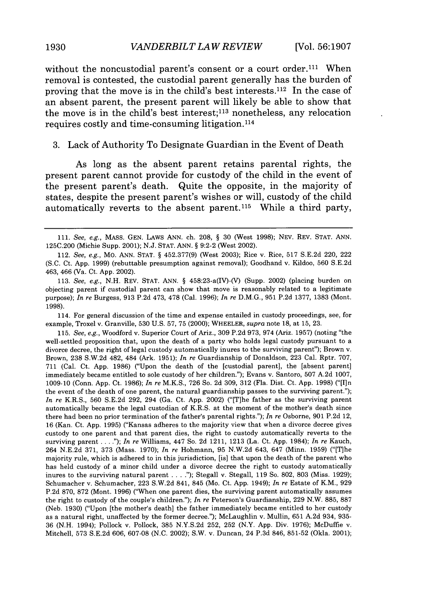without the noncustodial parent's consent or a court order.<sup>111</sup> When removal is contested, the custodial parent generally has the burden of proving that the move is in the child's best interests. 112 In the case of an absent parent, the present parent will likely be able to show that the move is in the child's best interest; 113 nonetheless, any relocation requires costly and time-consuming litigation. <sup>114</sup>

#### 3. Lack of Authority To Designate Guardian in the Event of Death

As long as the absent parent retains parental rights, the present parent cannot provide for custody of the child in the event of the present parent's death. Quite the opposite, in the majority of states, despite the present parent's wishes or will, custody of the child automatically reverts to the absent parent.<sup>115</sup> While a third party,

114. For general discussion of the time and expense entailed in custody proceedings, see, for example, Troxel v. Granville, 530 U.S. 57, 75 (2000); WHEELER, *supra* note 18, at 15, 23.

115. *See, e.g.,* Woodford v. Superior Court of Ariz., 309 P.2d 973, 974 (Ariz. 1957) (noting "the well-settled proposition that, upon the death of a party who holds legal custody pursuant to a divorce decree, the right of legal custody automatically inures to the surviving parent"); Brown v. Brown, 238 S.W.2d 482, 484 (Ark. 1951); *In re* Guardianship of Donaldson, 223 Cal. Rptr. 707, 711 (Cal. Ct. App. 1986) ("Upon the death of the [custodial parent], the [absent parent] immediately became entitled to sole custody of her children."); Evans v. Santoro, 507 A.2d 1007, 1009-10 (Conn. App. Ct. 1986); *In re* M.K.S., 726 So. 2d 309, 312 (Fla. Dist. Ct. App. 1998) ("[I]n the event of the death of one parent, the natural guardianship passes to the surviving parent."); *In re* K.R.S., 560 S.E.2d 292, 294 (Ga. Ct. App. 2002) ("[T]he father as the surviving parent automatically became the legal custodian of K.R.S. at the moment of the mother's death since there had been no prior termination of the father's parental rights."); *In re* Osborne, 901 P.2d 12, 16 (Kan. Ct. App. 1995) ("Kansas adheres to the majority view that when a divorce decree gives custody to one parent and that parent dies, the right to custody automatically reverts to the surviving parent **....** ); *In re* Williams, 447 So. 2d 1211, 1213 (La. Ct. App. 1984); *In re* Kauch, 264 N.E.2d 371, 373 (Mass. 1970); *In re* Hohmann, 95 N.W.2d 643, 647 (Minn. 1959) ("[T]he majority rule, which is adhered to in this jurisdiction, [is] that upon the death of the parent who has held custody of a minor child under a divorce decree the right to custody automatically inures to the surviving natural parent **....** "); Stegall v. Stegall, 119 So. 802, 803 (Miss. 1929); Schumacher v. Schumacher, 223 S.W.2d 841, 845 (Mo. Ct. App. 1949); *In re* Estate of K.M., 929 P.2d 870, 872 (Mont. 1996) ("When one parent dies, the surviving parent automatically assumes the right to custody of the couple's children."); *In re* Peterson's Guardianship, 229 N.W. 885, 887 (Neb. 1930) ("Upon [the mother's death] the father immediately became entitled to her custody as a natural right, unaffected by the former decree."); McLaughlin v. Mullin, 651 A.2d 934, 935- 36 (N.H. 1994); Pollock v. Pollock, 385 N.Y.S.2d 252, 252 (N.Y. App. Div. 1976); McDuffie v. Mitchell, 573 S.E.2d 606, 607-08 (N.C. 2002); S.W. v. Duncan, 24 P.3d 846, 851-52 (Okla. 2001);

1930

<sup>111.</sup> *See, e.g.,* MASS. GEN. LAWS ANN. ch. 208, § 30 (West 1998); NEV. REV. STAT. ANN. 125C.200 (Michie Supp. 2001); N.J. STAT. ANN. § 9:2-2 (West 2002).

<sup>112.</sup> *See, e.g.,* Mo. ANN. STAT. § 452.377(9) (West 2003); Rice v. Rice, 517 S.E.2d 220, 222 (S.C. Ct. App. 1999) (rebuttable presumption against removal); Goodhand v. Kildoo, 560 S.E.2d 463, 466 (Va. Ct. App. 2002).

<sup>113.</sup> *See, e.g.,* N.H. REV. STAT. ANN. § 458:23-a(IV)-(V) (Supp. 2002) (placing burden on objecting parent if custodial parent can show that move is reasonably related to a legitimate purpose); *In re* Burgess, 913 P.2d 473, 478 (Cal. 1996); *In re* D.M.G., 951 P.2d 1377, 1383 (Mont. 1998).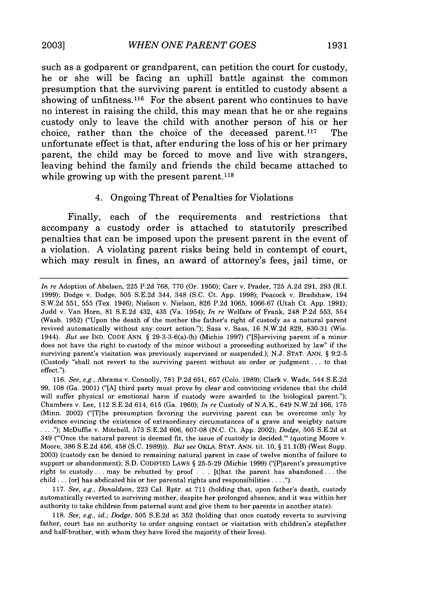such as a godparent or grandparent, can petition the court for custody, he or she will be facing an uphill battle against the common presumption that the surviving parent is entitled to custody absent a showing of unfitness.<sup>116</sup> For the absent parent who continues to have no interest in raising the child, this may mean that he or she regains custody only to leave the child with another person of his or her choice, rather than the choice of the deceased parent. 117 The unfortunate effect is that, after enduring the loss of his or her primary parent, the child may be forced to move and live with strangers, leaving behind the family and friends the child became attached to while growing up with the present parent.<sup>118</sup>

## 4. Ongoing Threat of Penalties for Violations

Finally, each of the requirements and restrictions that accompany a custody order is attached to statutorily prescribed penalties that can be imposed upon the present parent in the event of a violation. **A** violating parent risks being held in contempt of court, which may result in fines, an award of attorney's fees, jail time, or

117. *See, e.g., Donaldson,* 223 Cal. Rptr. at 711 (holding that, upon father's death, custody automatically reverted to surviving mother, despite her prolonged absence, and it was within her authority to take children from paternal aunt and give them to her parents in another state).

118. *See, e.g., id.; Dodge,* 505 S.E.2d at 352 (holding that once custody reverts to surviving father, court has no authority to order ongoing contact or visitation with children's stepfather and half-brother, with whom they have lived the majority of their lives).

*In re* Adoption of Abelsen, **225** P.2d 768, 770 (Or. 1950); Carr v. Prader, 725 A.2d 291, 293 (R.I. 1999); Dodge v. Dodge, 505 S.E.2d 344, 348 (S.C. Ct. App. 1998); Peacock v. Bradshaw, 194 S.W.2d 551, 555 (Tex. 1946); Nielson v. Nielson, 826 P.2d 1065, 1066-67 (Utah Ct. App. 1991); Judd v. Van Horn, 81 S.E.2d 432, 435 (Va. 1954); *In re* Welfare of Frank, 248 P.2d 553, 554 (Wash. 1952) ("Upon the death of the mother the father's right of custody as a natural parent revived automatically without any court action."); Sass v. Sass, 16 N.W.2d 829, 830-31 (Wis. 1944). *But* see IND. CODE ANN. § 29-3-3-6(a)-(b) (Michie 1997) ("[S]urviving parent of a minor does not have the right to custody of the minor without a proceeding authorized by law" if the surviving parent's visitation was previously supervised or suspended.); N.J. STAT. ANN. § 9:2-5 (Custody "shall not revert to the surviving parent without an order or judgment... to that effect.").

<sup>116.</sup> *See, e.g.,* Abrams v. Connolly, 781 P.2d 651, 657 (Colo. 1989); Clark v. Wade, 544 S.E.2d 99, 108 (Ga. 2001) ("[A] third party must prove by clear and convincing evidence that the child will suffer physical or emotional harm if custody were awarded to the biological parent."); Chambers v. Lee, 112 S.E.2d 614, 615 (Ga. 1960); *In re* Custody of N.A.K., 649 N.W.2d 166, 175 (Minn. 2002) ("[T]he presumption favoring the surviving parent can be overcome only by evidence evincing the existence of extraordinary circumstances of a grave and weighty nature **.... ");** McDuffie v. Mitchell, 573 S.E.2d 606, 607-08 (N.C. Ct. App. 2002); *Dodge,* 505 S.E.2d at 349 ('Once the natural parent is deemed fit, the issue of custody is decided."' (quoting Moore v. Moore, 386 S.E.2d 456, 458 (S.C. 1989))). *But see* OKLA. STAT. ANN. tit. 10, § 21.1(B) (West Supp. 2003) (custody can be denied to remaining natural parent in case of twelve months of failure to support or abandonment); S.D. CODIFIED LAWS § 25-5-29 (Michie 1999) ("[P]arent's presumptive right to custody **...** may be rebutted by proof . . . [t]hat the parent has abandoned **...** the child ... [or] has abdicated his or her parental rights and responsibilities **.... ").**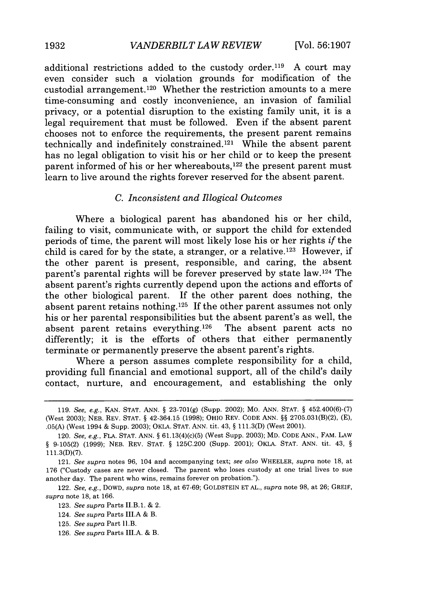additional restrictions added to the custody order.<sup>119</sup> A court may even consider such a violation grounds for modification of the custodial arrangement. 120 Whether the restriction amounts to a mere time-consuming and costly inconvenience, an invasion of familial privacy, or a potential disruption to the existing family unit, it is a legal requirement that must be followed. Even if the absent parent chooses not to enforce the requirements, the present parent remains technically and indefinitely constrained.<sup>121</sup> While the absent parent has no legal obligation to visit his or her child or to keep the present parent informed of his or her whereabouts, $122$  the present parent must learn to live around the rights forever reserved for the absent parent.

## *C. Inconsistent and Illogical Outcomes*

Where a biological parent has abandoned his or her child, failing to visit, communicate with, or support the child for extended periods of time, the parent will most likely lose his or her rights *if* the child is cared for by the state, a stranger, or a relative.<sup>123</sup> However, if the other parent is present, responsible, and caring, the absent parent's parental rights will be forever preserved by state law. 124 The absent parent's rights currently depend upon the actions and efforts of the other biological parent. If the other parent does nothing, the absent parent retains nothing. 125 If the other parent assumes not only his or her parental responsibilities but the absent parent's as well, the absent parent retains everything.<sup>126</sup> The absent parent acts no differently; it is the efforts of others that either permanently terminate or permanently preserve the absent parent's rights.

Where a person assumes complete responsibility for a child, providing full financial and emotional support, all of the child's daily contact, nurture, and encouragement, and establishing the only

<sup>119.</sup> *See, e.g.,* KAN. STAT. ANN. § 23-701(g) (Supp. 2002); MO. ANN. STAT. § 452.400(6)-(7) (West 2003); NEB. REV. STAT. § 42-364.15 (1998); OHIO REV. CODE ANN. §§ 2705.031(B)(2), (E), .05(A) (West 1994 & Supp. 2003); OKLA. STAT. ANN. tit. 43, § 111.3(D) (West 2001).

<sup>120.</sup> *See, e.g.,* FLA. STAT. ANN. § 61.13(4)(c)(5) (West Supp. 2003); MD. CODE ANN., FAM. LAW § 9-105(2) (1999); NEB. REV. STAT. § 125C.200 (Supp. 2001); OKLA. STAT. ANN. tit. 43, § 111.3(D)(7).

<sup>121.</sup> *See supra* notes 96, 104 and accompanying text; *see also* WHEELER, *supra* note **18,** at 176 ("Custody cases are never closed. The parent who loses custody at one trial lives to sue another day. The parent who wins, remains forever on probation.").

<sup>122.</sup> *See, e.g.,* DOWD, *supra* note 18, at 67-69; GOLDSTEIN ET AL., *supra* note 98, at 26; GREIF, *supra* note 18, at 166.

<sup>123.</sup> *See supra* Parts II.B.1. & 2.

<sup>124.</sup> *See supra* Parts **ILI.A &** B.

<sup>125.</sup> *See supra* Part I.B.

<sup>126.</sup> *See supra* Parts III.A. & B.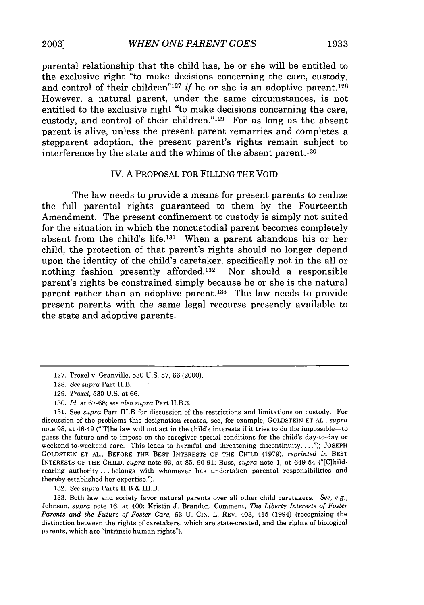parental relationship that the child has, he or she will be entitled to the exclusive right "to make decisions concerning the care, custody, and control of their children<sup>"127</sup> *if* he or she is an adoptive parent.<sup>128</sup> However, a natural parent, under the same circumstances, is not entitled to the exclusive right "to make decisions concerning the care, custody, and control of their children."'129 For as long as the absent parent is alive, unless the present parent remarries and completes a stepparent adoption, the present parent's rights remain subject to interference by the state and the whims of the absent parent.130

## IV. A PROPOSAL FOR FILLING THE VOID

The law needs to provide a means for present parents to realize the full parental rights guaranteed to them by the Fourteenth Amendment. The present confinement to custody is simply not suited for the situation in which the noncustodial parent becomes completely absent from the child's life.<sup>131</sup> When a parent abandons his or her child, the protection of that parent's rights should no longer depend upon the identity of the child's caretaker, specifically not in the all or nothing fashion presently afforded. 32 Nor should a responsible parent's rights be constrained simply because he or she is the natural parent rather than an adoptive parent.<sup>133</sup> The law needs to provide present parents with the same legal recourse presently available to the state and adoptive parents.

132. *See supra* Parts II.B & III.B.

133. Both law and society favor natural parents over all other child caretakers. *See, e.g.,* Johnson, *supra* note 16, at 400; Kristin J. Brandon, Comment, *The Liberty Interests of Foster Parents and the Future of Foster Care,* 63 U. CIN. L. REV. 403, 415 (1994) (recognizing the distinction between the rights of caretakers, which are state-created, and the rights of biological parents, which are "intrinsic human rights").

<sup>127.</sup> Troxel v. Granville, 530 U.S. 57, 66 (2000).

<sup>128.</sup> *See supra* Part II.B.

<sup>129.</sup> *Troxel,* 530 U.S. at 66.

<sup>130.</sup> *Id.* at 67-68; *see also supra* Part II.B.3.

<sup>131.</sup> See *supra* Part III.B for discussion of the restrictions and limitations on custody. For discussion of the problems this designation creates, see, for example, GOLDSTEIN ET AL., *supra* note 98, at 46-49 ("[T]he law will not act in the child's interests if it tries to do the impossible-to guess the future and to impose on the caregiver special conditions for the child's day-to-day or weekend-to-weekend care. This leads to harmful and threatening discontinuity **....** ); JOSEPH GOLDSTEIN ET AL., BEFORE THE BEST INTERESTS OF THE CHILD (1979), *reprinted in* BEST INTERESTS OF THE CHILD, *supra* note 93, at 85, 90-91; Buss, *supra* note 1, at 649-54 ("[C]hildrearing authority.., belongs with whomever has undertaken parental responsibilities and thereby established her expertise.").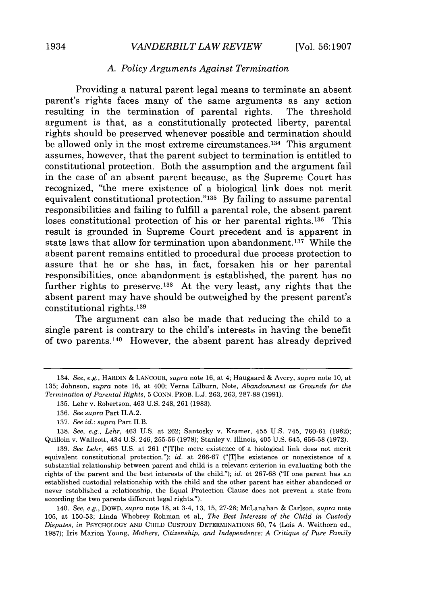## *A. Policy Arguments Against Termination*

Providing a natural parent legal means to terminate an absent parent's rights faces many of the same arguments as any action resulting in the termination of parental rights. The threshold argument is that, as a constitutionally protected liberty, parental rights should be preserved whenever possible and termination should be allowed only in the most extreme circumstances.<sup>134</sup> This argument assumes, however, that the parent subject to termination is entitled to constitutional protection. Both the assumption and the argument fail in the case of an absent parent because, as the Supreme Court has recognized, "the mere existence of a biological link does not merit equivalent constitutional protection." $135$  By failing to assume parental responsibilities and failing to fulfill a parental role, the absent parent loses constitutional protection of his or her parental rights.<sup>136</sup> This result is grounded in Supreme Court precedent and is apparent in state laws that allow for termination upon abandonment. 137 While the absent parent remains entitled to procedural due process protection to assure that he or she has, in fact, forsaken his or her parental responsibilities, once abandonment is established, the parent has no further rights to preserve. 138 At the very least, any rights that the absent parent may have should be outweighed by the present parent's constitutional rights. <sup>139</sup>

The argument can also be made that reducing the child to a single parent is contrary to the child's interests in having the benefit of two parents. 140 However, the absent parent has already deprived

139. *See Lehr,* 463 U.S. at 261 ("[Tlhe mere existence of a biological link does not merit equivalent constitutional protection."); *id.* at 266-67 ("[T]he existence or nonexistence of a substantial relationship between parent and child is a relevant criterion in evaluating both the rights of the parent and the best interests of the child."); *id.* at 267-68 ("If one parent has an established custodial relationship with the child and the other parent has either abandoned or never established a relationship, the Equal Protection Clause does not prevent a state from according the two parents different legal rights.").

140. *See, e.g.,* DOWD, *supra* note 18, at 3-4, 13, 15, 27-28; McLanahan & Carlson, *supra* note 105, at 150-53; Linda Whobrey Rohman et al., *The Best Interests of the Child in Custody Disputes, in* PSYCHOLOGY AND CHILD CUSTODY DETERMINATIONS 60, 74 (Lois A. Weithorn ed., 1987); Iris Marion Young, *Mothers, Citizenship, and Independence: A Critique of Pure Family*

<sup>134.</sup> *See, e.g.,* HARDIN *&* LANCOUR, *supra* note 16, at 4; Haugaard & Avery, *supra* note 10, at 135; Johnson, *supra* note 16, at 400; Verna Lilburn, Note, *Abandonment as Grounds for the Termination of Parental Rights,* 5 CONN. PROB. L.J. 263, 263, 287-88 (1991).

<sup>135.</sup> Lehr v. Robertson, 463 U.S. 248, 261 (1983).

<sup>136.</sup> *See supra* Part II.A.2.

<sup>137.</sup> *See id.; supra* Part II.B.

<sup>138.</sup> *See, e.g., Lehr,* 463 U.S. at 262; Santosky v. Kramer, 455 U.S. 745, 760-61 (1982); Quilloin v. Wallcott, 434 U.S. 246, 255-56 (1978); Stanley v. Illinois, 405 U.S. 645, 656-58 (1972).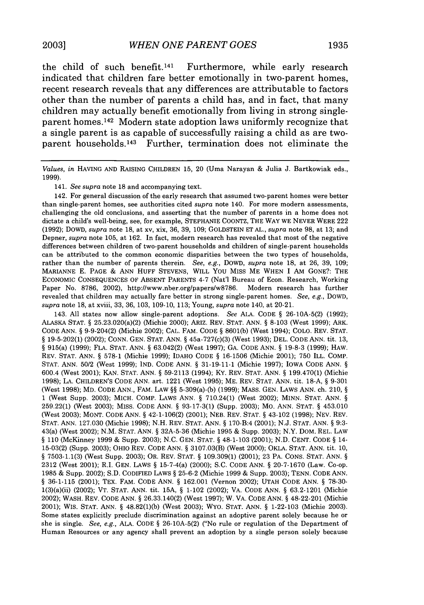the child of such benefit.<sup>141</sup> Furthermore, while early research indicated that children fare better emotionally in two-parent homes, recent research reveals that any differences are attributable to factors other than the number of parents a child has, and in fact, that many children may actually benefit emotionally from living in strong singleparent homes. 142 Modern state adoption laws uniformly recognize that a single parent is as capable of successfully raising a child as are twoparent households. 143 Further, termination does not eliminate the

*Values, in* HAVING AND RAISING CHILDREN 15, 20 (Uma Narayan & Julia J. Bartkowiak eds., 1999).

141. *See supra* note 18 and accompanying text.

142. For general discussion of the early research that assumed two-parent homes were better than single-parent homes, see authorities cited *supra* note 140. For more modern assessments, challenging the old conclusions, and asserting that the number of parents in a home does not dictate a child's well-being, see, for example, STEPHANIE COONTZ, THE WAY WE NEVER WERE 222 (1992); DOWD, *supra* note 18, at xv, xix, 36, 39, 109; GOLDSTEIN ET AL., *supra* note 98, at 13; and Depner, *supra* note 105, at 162. In fact, modern research has revealed that most of the negative differences between children of two-parent households and children of single-parent households can be attributed to the common economic disparities between the two types of households, rather than the number of parents therein. *See, e.g.,* DOWD, *supra* note 18, at 26, 39, 109; MARIANNE E. PAGE & ANN HUFF STEVENS, WILL YOU MISS ME WHEN I AM GONE?: THE ECONOMIC CONSEQUENCES OF ABSENT PARENTS 4-7 (Nat'l Bureau of Econ. Research, Working Paper No. 8786, 2002), http://www.nber.org/papers/w8786. Modern research has further revealed that children may actually fare better in strong single-parent homes. *See, e.g.,* DOWD, *supra* note 18, at xviii, 33, 36, 103, 109-10, 113; Young, *supra* note 140, at 20-21.

143. All states now allow single-parent adoptions. *See* ALA. CODE § 26-1OA-5(2) (1992); ALASKA STAT. § 25.23.020(a)(2) (Michie 2000); ARIZ. REV. STAT. ANN. § 8-103 (West 1999); ARK. CODE ANN. § 9-9-204(2) (Michie 2002); CAL. FAM. CODE § 8601(b) (West 1994); COLO. REV. STAT. § 19-5-202(1) (2002); CONN. GEN. STAT. ANN. § 45a-727(c)(3) (West 1993); DEL. CODE ANN. tit. 13, § 915(a) (1999); FLA. STAT. ANN. § 63.042(2) (West 1997); GA. CODE ANN. § 19-8-3 (1999); HAW. REV. STAT. ANN. § 578-1 (Michie 1999); IDAHO CODE § 16-1506 (Michie 2001); 750 ILL. COMP. **STAT.** ANN. 50/2 (West 1999); IND. CODE ANN. § 31-19-11-1 (Michie 1997); IOWA CODE ANN. § 600.4 (West 2001); KAN. STAT. ANN. § 59-2113 (1994); KY. REV. STAT. ANN. § 199.470(1) (Michie 1998); LA. CHILDREN'S CODE ANN. art. 1221 (West 1995); ME. REV. STAT. ANN. tit. 18-A, § 9-301 (West 1998); MD. CODE ANN., FAM. LAW §§ 5-309(a)-(b) (1999); MASS. GEN. LAWS ANN. ch. 210, § 1 (West Supp. 2003); MICH. COMP. LAWS ANN. § 710.24(1) (West 2002); MINN. STAT. ANN. § 259.22(1) (West 2003); MISS. CODE ANN. § 93-17-3(1) (Supp. 2003); MO. ANN. STAT. § 453.010 (West 2003); MONT. CODE ANN. § 42-1-106(2) (2001); NEB. REV. STAT. § 43-102 (1998); NEV. REV. **STAT.** ANN. 127.030 (Michie 1998); N.H. REV. STAT. ANN. § 170-B:4 (2001); N.J. STAT. ANN. § 9:3- 43(a) (West 2002); N.M. STAT. ANN. § 32A-5-36 (Michie 1995 & Supp. 2003); N.Y. DOM. REL. LAW § 110 (McKinney 1999 & Supp. 2003); N.C. GEN. STAT. § 48-1-103 (2001); N.D. CENT. CODE § 14- 15-03(2) (Supp. 2003); OHIO REV. CODE ANN. § 3107.03(B) (West 2000); OKLA. STAT. ANN. tit. 10, § 7503-1.1(3) (West Supp. 2003); OR. REV. STAT. § 109.309(1) (2001); 23 PA. CONS. STAT. ANN. § 2312 (West 2001); R.I. GEN. LAWS § 15-7-4(a) (2000); S.C. CODE ANN. § 20-7-1670 (Law. Co-op. 1985 & Supp. 2002); S.D. CODIFIED LAWS § 25-6-2 (Michie 1999 & Supp. 2003); TENN. CODE ANN. § 36-1-115 (2001); TEX. FAM. CODE ANN. § 162.001 (Vernon 2002); UTAH CODE ANN. § 78-30- 1(3)(a)(ii) (2002); VT. STAT. ANN. tit. **15A,** § 1-102 (2002); VA. CODE ANN. § 63.2-1201 (Michie 2002); WASH. REV. CODE ANN. § 26.33.140(2) (West 1997); W. VA. CODE ANN. § 48-22-201 (Michie 2001); WIS. STAT. ANN. § 48.82(1)(b) (West 2003); WYO. STAT. ANN. § 1-22-103 (Michie 2003). Some states explicitly preclude discrimination against an adoptive parent solely because he or she is single. *See, e.g.,* ALA. CODE § 26-10A-5(2) ("No rule or regulation of the Department of Human Resources or any agency shall prevent an adoption by a single person solely because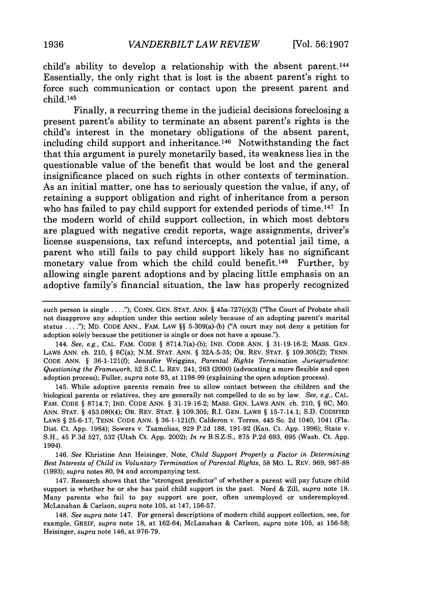child's ability to develop a relationship with the absent parent. <sup>144</sup> Essentially, the only right that is lost is the absent parent's right to force such communication or contact upon the present parent and child. 145

Finally, a recurring theme in the judicial decisions foreclosing a present parent's ability to terminate an absent parent's rights is the child's interest in the monetary obligations of the absent parent, including child support and inheritance.<sup>146</sup> Notwithstanding the fact that this argument is purely monetarily based, its weakness lies in the questionable value of the benefit that would be lost and the general insignificance placed on such rights in other contexts of termination. As an initial matter, one has to seriously question the value, if any, of retaining a support obligation and right of inheritance from a person who has failed to pay child support for extended periods of time.<sup>147</sup> In the modern world of child support collection, in which most debtors are plagued with negative credit reports, wage assignments, driver's license suspensions, tax refund intercepts, and potential jail time, a parent who still fails to pay child support likely has no significant monetary value from which the child could benefit. 148 Further, **by** allowing single parent adoptions and **by** placing little emphasis on an adoptive family's financial situation, the law has properly recognized

144. *See, e.g.,* CAL. FAM. CODE § 8714.7(a)-(b); IND. CODE ANN. § 31-19-16-2; MASS. GEN. LAWS ANN. ch. 210, § 6C(a); N.M. STAT. ANN. § 32A-5-35; OR. REV. STAT. § 109.305(2); TENN. CODE ANN. § 36-1-121(0; Jennifer Wriggins, *Parental Rights Termination Jurisprudence: Questioning the Framework,* 52 S.C. L. REV. 241, 263 (2000) (advocating a more flexible and open adoption process); Fuller, *supra* note 93, at 1198-99 (explaining the open adoption process).

145. While adoptive parents remain free to allow contact between the children and the biological parents or relatives, they are generally not compelled to do so by law. *See, e.g.,* CAL. FAM. CODE § 8714.7; IND. CODE ANN. § 31-19-16-2; MASS. GEN. LAWS ANN. ch. 210, § 6C; Mo. ANN. STAT. § 453.080(4); OR. REV. STAT. § 109.305; R.I. GEN. LAWS § 15-7-14.1; **S.D.** CODIFIED LAWS § 25-6-17; TENN. CODE ANN. § 36-1-121(f); Calderon v. Torres, 445 So. 2d 1040, 1041 (Fla. Dist. Ct. App. 1984); Sowers v. Tsamolias, 929 P.2d 188, 191-92 (Kan. Ct. App. 1996); State v. S.H., 45 P.3d 527, 532 (Utah Ct. App. 2002); *In re* B.S.Z-S., 875 P.2d 693, 695 (Wash. Ct. App. 1994).

146. *See* Khristine Ann Heisinger, Note, *Child Support Properly a Factor in Determining Best Interests of Child in Voluntary Termination of Parental Rights,* 58 MO. L. REV. 969, 987-88 (1993); *supra* notes 80, 94 and accompanying text.

147. Research shows that the "strongest predictor" of whether a parent will pay future child support is whether he or she has paid child support in the past. Nord & Zill, *supra* note 18. Many parents who fail to pay support are poor, often unemployed or underemployed. McLanahan & Carlson, *supra* note 105, at 147, 156-57.

148. *See supra* note 147. For general descriptions of modern child support collection, see, for example, GREIF, *supra* note 18, at 162-64; McLanahan & Carlson, *supra* note 105, at 156-58; Heisinger, *supra* note 146, at 976-79.

such person is single **... ");** CONN. GEN. STAT. ANN. § 45a-727(c)(3) ("The Court of Probate shall not disapprove any adoption under this section solely because of an adopting parent's marital status **....");** MD. CODE ANN., FAM. LAW §§ 5-309(a)-(b) ("A court may not deny a petition for adoption solely because the petitioner is single or does not have a spouse.").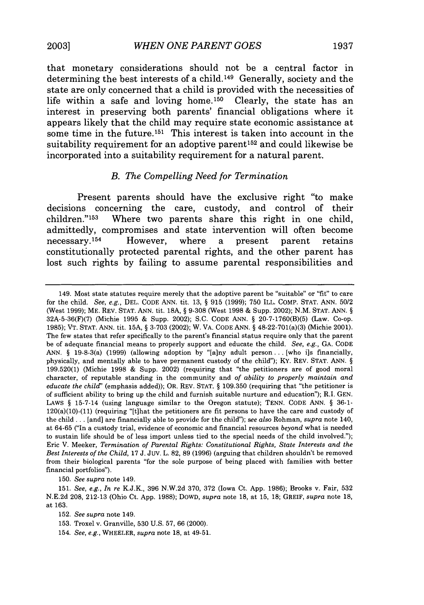that monetary considerations should not be a central factor in determining the best interests of a child. 149 Generally, society and the state are only concerned that a child is provided with the necessities of life within a safe and loving home.<sup>150</sup> Clearly, the state has an interest in preserving both parents' financial obligations where it appears likely that the child may require state economic assistance at some time in the future.<sup>151</sup> This interest is taken into account in the suitability requirement for an adoptive parent<sup>152</sup> and could likewise be incorporated into a suitability requirement for a natural parent.

#### *B. The Compelling Need for Termination*

Present parents should have the exclusive right "to make decisions concerning the care, custody, and control of their children."'153 Where two parents share this right in one child, admittedly, compromises and state intervention will often become necessary.154 However, where a present parent retains constitutionally protected parental rights, and the other parent has lost such rights **by** failing to assume parental responsibilities and

150. *See supra* note 149.

152. *See supra* note 149.

<sup>149.</sup> Most state statutes require merely that the adoptive parent be "suitable" or "fit" to care for the child. *See, e.g.,* DEL. CODE ANN. tit. 13, § 915 (1999); 750 ILL. COMP. STAT. ANN. 50/2 (West 1999); ME. REV. STAT. ANN. tit. 18A, § 9-308 (West 1998 & Supp. 2002); N.M. STAT. ANN. § 32A-5-36(F)(7) (Michie 1995 & Supp. 2002); S.C. CODE ANN. § 20-7-1760(B)(5) (Law. Co-op. 1985); VT. STAT. ANN. tit. **15A,** § 3-703 (2002); W. VA. CODE ANN. § 48-22-701(a)(3) (Michie 2001). The few states that refer specifically to the parent's financial status require only that the parent be of adequate financial means to properly support and educate the child. *See, e.g.,* GA. CODE ANN. § 19-8-3(a) (1999) (allowing adoption by "[a]ny adult person... [who i]s financially, physically, and mentally able to have permanent custody of the child"); KY. REV. STAT. ANN. § 199.520(1) (Michie 1998 & Supp. 2002) (requiring that "the petitioners are of good moral character, of reputable standing in the community and *of ability to properly maintain and educate the child'* (emphasis added)); OR. REV. STAT. § 109.350 (requiring that "the petitioner is of sufficient ability to bring up the child and furnish suitable nurture and education"); R.I. GEN. LAWS § 15-7-14 (using language similar to the Oregon statute); TENN. CODE ANN. § **36-1-** 120(a)(10)-(11) (requiring "[t]hat the petitioners are fit persons to have the care and custody of the child **...** [and] are financially able to provide for the child"); *see also* Rohman, *supra* note 140, at 64-65 ("In a custody trial, evidence of economic and financial resources *beyond* what is needed to sustain life should be of less import unless tied to the special needs of the child involved."); Eric V. Meeker, *Termination of Parental Rights: Constitutional Rights, State Interests and the Best Interests of the Child,* 17 J. Juv. L. 82, 89 (1996) (arguing that children shouldn't be removed from their biological parents "for the sole purpose of being placed with families with better financial portfolios").

<sup>151.</sup> *See, e.g., In re* K.J.K., 396 N.W.2d 370, 372 (Iowa Ct. App. 1986); Brooks v. Fair, 532 N.E.2d 208, 212-13 (Ohio Ct. App. 1988); DOWD, *supra* note 18, at 15, 18; GREIF, *supra* note 18, at 163.

<sup>153.</sup> Troxel v. Granville, 530 U.S. 57, 66 (2000).

<sup>154.</sup> *See, e.g.,* WHEELER, *supra* note 18, at 49-51.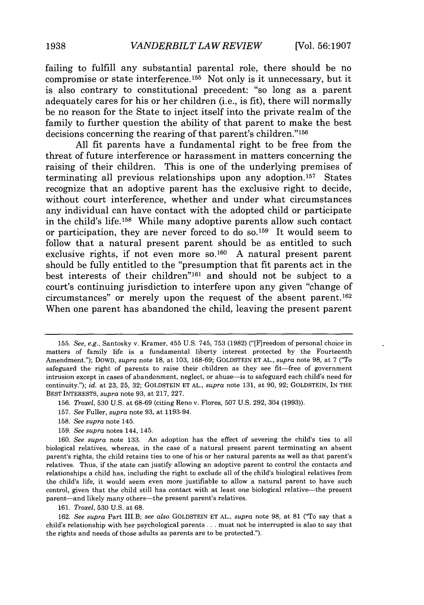failing to fulfill any substantial parental role, there should be no compromise or state interference. 155 Not only is it unnecessary, but it is also contrary to constitutional precedent: "so long as a parent adequately cares for his or her children (i.e., is fit), there will normally be no reason for the State to inject itself into the private realm of the family to further question the ability of that parent to make the best decisions concerning the rearing of that parent's children."<sup>156</sup>

All fit parents have a fundamental right to be free from the threat of future interference or harassment in matters concerning the raising of their children. This is one of the underlying premises of terminating all previous relationships upon any adoption. 157 States recognize that an adoptive parent has the exclusive right to decide, without court interference, whether and under what circumstances any individual can have contact with the adopted child or participate in the child's life. 158 While many adoptive parents allow such contact or participation, they are never forced to do so.<sup>159</sup> It would seem to follow that a natural present parent should be as entitled to such exclusive rights, if not even more so.<sup>160</sup> A natural present parent should be fully entitled to the "presumption that fit parents act in the best interests of their children"<sup>161</sup> and should not be subject to a court's continuing jurisdiction to interfere upon any given "change of circumstances" or merely upon the request of the absent parent. <sup>162</sup> When one parent has abandoned the child, leaving the present parent

- 157. *See* Fuller, *supra* note **93,** at 1193-94.
- 158. *See supra* note 145.
- 159. *See supra* notes 144, 145.

161. *Troxel,* 530 U.S. at 68.

162. *See supra* Part II.B; *see also* GOLDSTEIN **ET AL.,** *supra* note 98, at 81 ("To say that a child's relationship with her psychological parents **...** must not be interrupted is also to say that the rights and needs of those adults as parents are to be protected.").

<sup>155.</sup> *See, e.g.,* Santosky v. Kramer, 455 U.S. 745, 753 (1982) ("[F]reedom of personal choice in matters of family life is a fundamental liberty interest protected by the Fourteenth Amendment."); DOWD, *supra* note **18,** at 103, 168-69; GOLDSTEIN **ET AL.,** *supra* note 98, at 7 ("To safeguard the right of parents to raise their children as they see fit-free of government intrusion except in cases of abandonment, neglect, or abuse-is to safeguard each child's need for continuity."); *id.* at 23, 25, 32; GOLDSTEIN **ET AL.,** *supra* note 131, at 90, 92; GOLDSTEIN, IN THE BEST INTERESTS, *supra* note 93, at 217, 227.

<sup>156.</sup> *Troxel,* 530 U.S. at 68-69 (citing Reno v. Flores, 507 U.S. 292, 304 (1993)).

<sup>160.</sup> *See supra* note 133. An adoption has the effect of severing the child's ties to all biological relatives, whereas, in the case of a natural present parent terminating an absent parent's rights, the child retains ties to one of his or her natural parents as well as that parent's relatives. Thus, if the state can justify allowing an adoptive parent to control the contacts and relationships a child has, including the right to exclude all of the child's biological relatives from the child's life, it would seem even more justifiable to allow a natural parent to have such control, given that the child still has contact with at least one biological relative-the present parent-and likely many others-the present parent's relatives.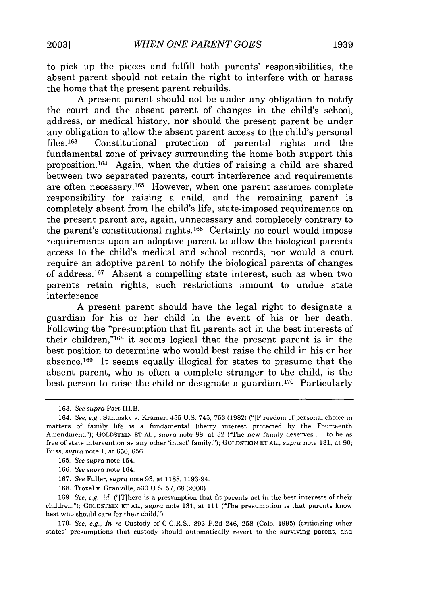to pick up the pieces and fulfill both parents' responsibilities, the absent parent should not retain the right to interfere with or harass the home that the present parent rebuilds.

A present parent should not be under any obligation to notify the court and the absent parent of changes in the child's school, address, or medical history, nor should the present parent be under any obligation to allow the absent parent access to the child's personal<br>files.<sup>163</sup> Constitutional protection of parental rights and the Constitutional protection of parental rights and the fundamental zone of privacy surrounding the home both support this proposition.164 Again, when the duties of raising a child are shared between two separated parents, court interference and requirements are often necessary.<sup>165</sup> However, when one parent assumes complete responsibility for raising a child, and the remaining parent is completely absent from the child's life, state-imposed requirements on the present parent are, again, unnecessary and completely contrary to the parent's constitutional rights.<sup>166</sup> Certainly no court would impose requirements upon an adoptive parent to allow the biological parents access to the child's medical and school records, nor would a court require an adoptive parent to notify the biological parents of changes of address. 167 Absent a compelling state interest, such as when two parents retain rights, such restrictions amount to undue state interference.

A present parent should have the legal right to designate a guardian for his or her child in the event of his or her death. Following the "presumption that fit parents act in the best interests of their children,"168 it seems logical that the present parent is in the best position to determine who would best raise the child in his or her absence. 169 It seems equally illogical for states to presume that the absent parent, who is often a complete stranger to the child, is the best person to raise the child or designate a guardian.<sup>170</sup> Particularly

169. *See, e.g., id.* ("[T]here is a presumption that fit parents act in the best interests of their children."); GOLDSTEIN ET AL., *supra* note 131, at 111 ("The presumption is that parents know best who should care for their child.").

170. *See, e.g., In re* Custody of C.C.R.S., 892 P.2d 246, 258 (Colo. 1995) (criticizing other states' presumptions that custody should automatically revert to the surviving parent, and

<sup>163.</sup> *See supra* Part II.B.

<sup>164.</sup> *See, e.g.,* Santosky v. Kramer, 455 U.S. 745, 753 (1982) ("[F]reedom of personal choice in matters of family life is a fundamental liberty interest protected by the Fourteenth Amendment."); GOLDSTEIN ET AL., *supra* note 98, at 32 ("The new family deserves **...** to be as free of state intervention as any other 'intact' family."); GOLDSTEIN ET AL., *supra* note 131, at 90; Buss, *supra* note 1, at 650, 656.

<sup>165.</sup> *See supra* note 154.

<sup>166.</sup> *See supra* note 164.

<sup>167.</sup> *See* Fuller, *supra* note 93, at 1188, 1193-94.

<sup>168.</sup> Troxel v. Granville, 530 U.S. 57, 68 (2000).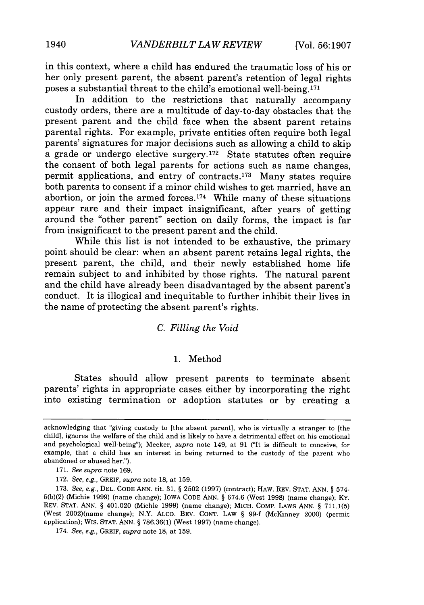in this context, where a child has endured the traumatic loss of his or her only present parent, the absent parent's retention of legal rights poses a substantial threat to the child's emotional well-being.171

In addition to the restrictions that naturally accompany custody orders, there are a multitude of day-to-day obstacles that the present parent and the child face when the absent parent retains parental rights. For example, private entities often require both legal parents' signatures for major decisions such as allowing a child to skip a grade or undergo elective surgery. 172 State statutes often require the consent of both legal parents for actions such as name changes, permit applications, and entry of contracts.<sup>173</sup> Many states require both parents to consent if a minor child wishes to get married, have an abortion, or join the armed forces.<sup>174</sup> While many of these situations appear rare and their impact insignificant, after years of getting around the "other parent" section on daily forms, the impact is far from insignificant to the present parent and the child.

While this list is not intended to be exhaustive, the primary point should be clear: when an absent parent retains legal rights, the present parent, the child, and their newly established home life remain subject to and inhibited by those rights. The natural parent and the child have already been disadvantaged by the absent parent's conduct. It is illogical and inequitable to further inhibit their lives in the name of protecting the absent parent's rights.

## *C. Filling the Void*

#### 1. Method

States should allow present parents to terminate absent parents' rights in appropriate cases either by incorporating the right into existing termination or adoption statutes or by creating a

acknowledging that "giving custody to [the absent parent], who is virtually a stranger to [the child], ignores the welfare of the child and is likely to have a detrimental effect on his emotional and psychological well-being'); Meeker, *supra* note 149, at 91 ("It is difficult to conceive, for example, that a child has an interest in being returned to the custody of the parent who abandoned or abused her.").

<sup>171.</sup> *See supra* note 169.

<sup>172.</sup> *See, e.g.,* GREIF, *supra* note 18, at 159.

<sup>173.</sup> *See, e.g.,* DEL. CODE ANN. tit. 31, § 2502 (1997) (contract); HAW. REV. STAT. ANN. § 574- 5(b)(2) (Michie 1999) (name change); IOWA CODE ANN. § 674.6 (West 1998) (name change); KY. REV. STAT. ANN. § 401.020 (Michie 1999) (name change); MICH. COMP. LAWS ANN. § 711.1(5) (West 2002)(name change); N.Y. ALco. BEV. CONT. LAW § 99-f (McKinney 2000) (permit application); WIS. STAT. ANN. § 786.36(1) (West 1997) (name change).

<sup>174.</sup> *See, e.g.,* GREIF, *supra* note 18, at 159.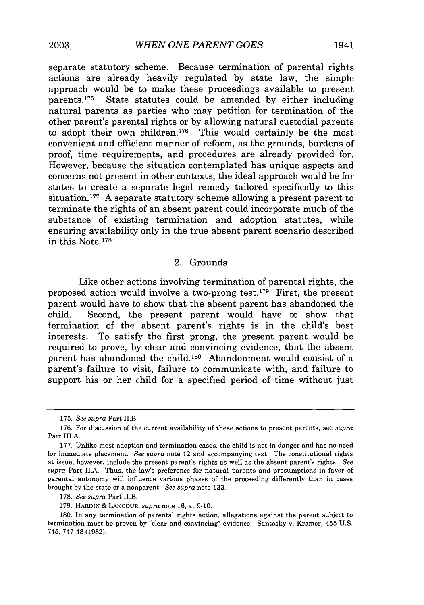separate statutory scheme. Because termination of parental rights actions are already heavily regulated by state law, the simple approach would be to make these proceedings available to present parents. 175 State statutes could be amended by either including natural parents as parties who may petition for termination of the other parent's parental rights or by allowing natural custodial parents to adopt their own children.<sup>176</sup> This would certainly be the most convenient and efficient manner of reform, as the grounds, burdens of proof, time requirements, and procedures are already provided for. However, because the situation contemplated has unique aspects and concerns not present in other contexts, the ideal approach would be for states to create a separate legal remedy tailored specifically to this situation.177 A separate statutory scheme allowing a present parent to terminate the rights of an absent parent could incorporate much of the substance of existing termination and adoption statutes, while ensuring availability only in the true absent parent scenario described in this Note.<sup>178</sup>

#### 2. Grounds

Like other actions involving termination of parental rights, the proposed action would involve a two-prong test.<sup>179</sup> First, the present parent would have to show that the absent parent has abandoned the child. Second, the present parent would have to show that termination of the absent parent's rights is in the child's best interests. To satisfy the first prong, the present parent would be required to prove, by clear and convincing evidence, that the absent parent has abandoned the child.<sup>180</sup> Abandonment would consist of a parent's failure to visit, failure to communicate with, and failure to support his or her child for a specified period of time without just

<sup>175.</sup> *See supra* Part II.B.

<sup>176.</sup> For discussion of the current availability of these actions to present parents, see *supra* Part III.A.

<sup>177.</sup> Unlike most adoption and termination cases, the child is not in danger and has no need for immediate placement. *See supra* note 12 and accompanying text. The constitutional rights at issue, however, include the present parent's rights as well as the absent parent's rights. *See supra* Part II.A. Thus, the law's preference for natural parents and presumptions in favor of parental autonomy will influence various phases of the proceeding differently than in cases brought by the state or a nonparent. *See supra* note 133.

<sup>178.</sup> *See supra* Part II.B.

<sup>179.</sup> HARDIN & LANCOUR, *supra* note 16, at 9-10.

<sup>180.</sup> In any termination of parental rights action, allegations against the parent subject to termination must be proven by "clear and convincing" evidence. Santosky v. Kramer, 455 U.S. 745, 747-48 (1982).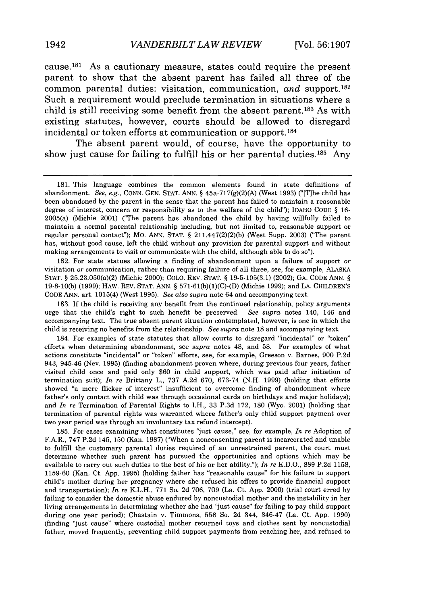cause.181 As a cautionary measure, states could require the present parent to show that the absent parent has failed all three of the common parental duties: visitation, communication, and support.<sup>182</sup> Such a requirement would preclude termination in situations where a child is still receiving some benefit from the absent parent.<sup>183</sup> As with existing statutes, however, courts should be allowed to disregard incidental or token efforts at communication or support. 184

The absent parent would, of course, have the opportunity to show just cause for failing to fulfill his or her parental duties.<sup>185</sup> Any

182. For state statues allowing a finding of abandonment upon a failure of support or visitation or communication, rather than requiring failure of all three, see, for example, ALASKA **STAT.** § 25.23,050(a)(2) (Michie 2000); COLO. REV. STAT. § 19-5-105(3.1) (2002); GA. CODE ANN. § 19-8-10(b) (1999); HAW. REV. STAT. ANN. § 571-61(b)(1)(C)-(D) (Michie 1999); and LA. CHILDREN'S CODE ANN. art. 1015(4) (West 1995). *See also supra* note 64 and accompanying text.

183. If the child is receiving any benefit from the continued relationship, policy arguments urge that the child's right to such benefit be preserved. *See supra* notes 140, 146 and accompanying text. The true absent parent situation contemplated, however, is one in which the child is receiving no benefits from the relationship. *See supra* note 18 and accompanying text.

184. For examples of state statutes that allow courts to disregard "incidental" or "token" efforts when determining abandonment, see *supra* notes 48, and 58. For examples of what actions constitute "incidental" or "token" efforts, see, for example, Greeson v. Barnes, 900 P.2d 943, 945-46 (Nev. 1995) (finding abandonment proven where, during previous four years, father visited child once and paid only \$60 in child support, which was paid after initiation of termination suit); In re Brittany L., 737 A.2d 670, 673-74 (N.H. 1999) (holding that efforts showed "a mere flicker of interest" insufficient to overcome finding of abandonment where father's only contact with child was through occasional cards on birthdays and major holidays); and *In re* Termination of Parental Rights to I.H., 33 P.3d 172, 180 (Wyo. 2001) (holding that termination of parental rights was warranted where father's only child support payment over two year period was through an involuntary tax refund intercept).

185. For cases examining what constitutes "just cause," see, for example, In *re* Adoption of F.A.R., 747 P.2d 145, 150 (Kan. 1987) ("When a nonconsenting parent is incarcerated and unable to fulfill the customary parental duties required of an unrestrained parent, the court must determine whether such parent has pursued the opportunities and options which may be available to carry out such duties to the best of his or her ability."); In *re* K.D.O., 889 P.2d 1158, 1159-60 (Kan. Ct. App. 1995) (holding father has "reasonable cause" for his failure to support child's mother during her pregnancy where she refused his offers to provide financial support and transportation); *In re* K.L.H., 771 So. 2d 706, 709 (La. Ct. App. 2000) (trial court erred by failing to consider the domestic abuse endured by noncustodial mother and the instability in her living arrangements in determining whether she had "just cause" for failing to pay child support during one year period); Chastain v. Timmons, 558 So. 2d 344, 346-47 (La. Ct. App. 1990) (finding "just cause" where custodial mother returned toys and clothes sent by noncustodial father, moved frequently, preventing child support payments from reaching her, and refused to

<sup>181.</sup> This language combines the common elements found in state definitions of abandonment. *See, e.g.,* CONN. GEN. STAT. ANN. § 45a.717(g)(2)(A) (West 1993) ("[T]he child has been abandoned by the parent in the sense that the parent has failed to maintain a reasonable degree of interest, concern or responsibility as to the welfare of the child"); IDAHO CODE § 16- 2005(a) (Michie 2001) ("The parent has abandoned the child by having willfully failed to maintain a normal parental relationship including, but not limited to, reasonable support or regular personal contact"); MO. ANN. STAT. § 211.447(2)(2)(b) (West Supp. 2003) ('The parent has, without good cause, left the child without any provision for parental support and without making arrangements to visit or communicate with the child, although able to do so").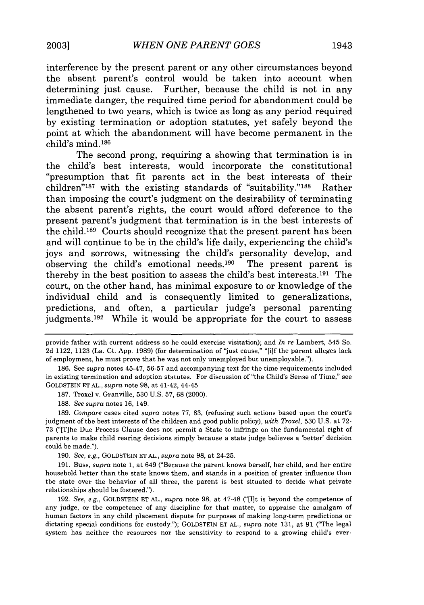interference **by** the present parent or any other circumstances beyond the absent parent's control would be taken into account when determining just cause. Further, because the child is not in any immediate danger, the required time period for abandonment could be lengthened to two years, which is twice as long as any period required **by** existing termination or adoption statutes, yet safely beyond the point at which the abandonment will have become permanent in the child's mind. <sup>186</sup>

The second prong, requiring a showing that termination is in the child's best interests, would incorporate the constitutional "presumption that fit parents act in the best interests of their children"<sup>187</sup> with the existing standards of "suitability."<sup>188</sup> Rather than imposing the court's judgment on the desirability of terminating the absent parent's rights, the court would afford deference to the present parent's judgment that termination is in the best interests of the child.189 Courts should recognize that the present parent has been and will continue to be in the child's life daily, experiencing the child's joys and sorrows, witnessing the child's personality develop, and observing the child's emotional needs. 190 The present parent is thereby in the best position to assess the child's best interests. 191 The court, on the other hand, has minimal exposure to or knowledge of the individual child and is consequently limited to generalizations, predictions, and often, a particular judge's personal parenting judgments.<sup>192</sup> While it would be appropriate for the court to assess

provide father with current address so he could exercise visitation); and *In re* Lambert, 545 So. **2d** 1122, **1123** (La. Ct. **App. 1989)** (for determination of "just cause," "[i]f the parent alleges lack of employment, he must prove that he was not only unemployed **but** unemployable.").

**<sup>186.</sup>** See *supra* notes 45-47, **56-57** and accompanying text for the time requirements included in existing termination and adoption statutes. For discussion of "the Child's Sense of Time," see **GOLDSTEIN ET AL.,** *supra* note **98,** at 41-42, 44-45.

**<sup>187.</sup>** Troxel v. Granville, **530 U.S. 57, 68** (2000).

**<sup>188.</sup>** *See supra* notes **16,** 149.

**<sup>189.</sup>** *Compare* cases cited *supra* notes **77, 83,** (refusing such actions based upon the court's judgment of the best interests of the children and good public policy), *with Troxel,* **530 U.S.** at **72- 73** ("[T]he Due Process Clause does not permit a State to infringe on the fundamental right of parents to make child rearing decisions simply because a state judge believes a 'better' decision could be made.").

**<sup>190.</sup>** *See, e.g.,* **GOLDSTEIN ET AL.,** *supra* note **98,** at 24-25.

**<sup>191.</sup>** Buss, *supra* note **1,** at 649 ("Because the parent knows herself, her child, and her entire household better than the state knows them, and stands in a position of greater influence than the state over the behavior of all three, the parent is best situated to decide what private relationships should be fostered.").

**<sup>192.</sup>** *See, e.g.,* **GOLDSTEIN ET AL.,** *supra* note **98,** at 47-48 ("[It is beyond the competence of any judge, or the competence of any discipline for that matter, to appraise the amalgam of human factors in any child placement dispute for purposes of making long-term predictions or dictating special conditions for custody."); GOLDSTEIN **ET AL.,** *supra* note **131,** at **91** ("The legal system has neither the resources nor the sensitivity to respond to a growing child's ever-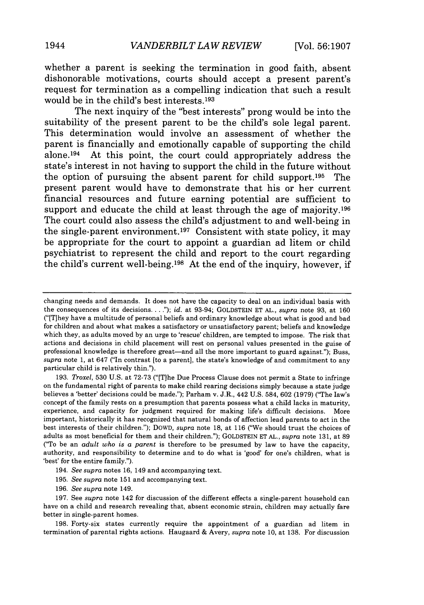whether a parent is seeking the termination in good faith, absent dishonorable motivations, courts should accept a present parent's request for termination as a compelling indication that such a result would be in the child's best interests. <sup>193</sup>

The next inquiry of the "best interests" prong would be into the suitability of the present parent to be the child's sole legal parent. This determination would involve an assessment of whether the parent is financially and emotionally capable of supporting the child alone. 194 At this point, the court could appropriately address the state's interest in not having to support the child in the future without the option of pursuing the absent parent for child support. 195 The present parent would have to demonstrate that his or her current financial resources and future earning potential are sufficient to support and educate the child at least through the age of majority.<sup>196</sup> The court could also assess the child's adjustment to and well-being in the single-parent environment.<sup>197</sup> Consistent with state policy, it may be appropriate for the court to appoint a guardian ad litem or child psychiatrist to represent the child and report to the court regarding the child's current well-being.<sup>198</sup> At the end of the inquiry, however, if

193. *Troxel,* 530 U.S. at 72-73 ("[Tlhe Due Process Clause does not permit a State to infringe on the fundamental right of parents to make child rearing decisions simply because a state judge believes a 'better' decisions could be made."); Parham v. J.R., 442 U.S. 584, 602 (1979) ('The law's concept of the family rests on a presumption that parents possess what a child lacks in maturity, experience, and capacity for judgment required for making life's difficult decisions. More important, historically it has recognized that natural bonds of affection lead parents to act in the best interests of their children."); DOWD, *supra* note 18, at 116 ("We should trust the choices of adults as most beneficial for them and their children."); GOLDSTEIN ET AL., *supra* note 131, at 89 ("To be an *adult who is a parent* is therefore to be presumed by law to have the capacity, authority, and responsibility to determine and to do what is 'good' for one's children, what is 'best' for the entire family.").

- 195. *See supra* note 151 and accompanying text.
- 196. *See supra* note 149.

197. See *supra* note 142 for discussion of the different effects a single-parent household can have on a child and research revealing that, absent economic strain, children may actually fare better in single-parent homes.

198. Forty-six states currently require the appointment of a guardian ad litem in termination of parental rights actions. Haugaard & Avery, *supra* note 10, at 138. For discussion

changing needs and demands. It does not have the capacity to deal on an individual basis with the consequences of its decisions **....** ); *id.* at 93-94; GOLDSTEIN ET AL., *supra* note 93, at 160 ("[T]hey have a multitude of personal beliefs and ordinary knowledge about what is good and bad for children and about what makes a satisfactory or unsatisfactory parent; beliefs and knowledge which they, as adults moved by an urge to 'rescue' children, are tempted to impose. The risk that actions and decisions in child placement will rest on personal values presented in the guise of professional knowledge is therefore great-and all the more important to guard against."); Buss, *supra* note 1, at 647 ("In contrast [to a parent], the state's knowledge of and commitment to any particular child is relatively thin.").

<sup>194.</sup> *See supra* notes 16, 149 and accompanying text.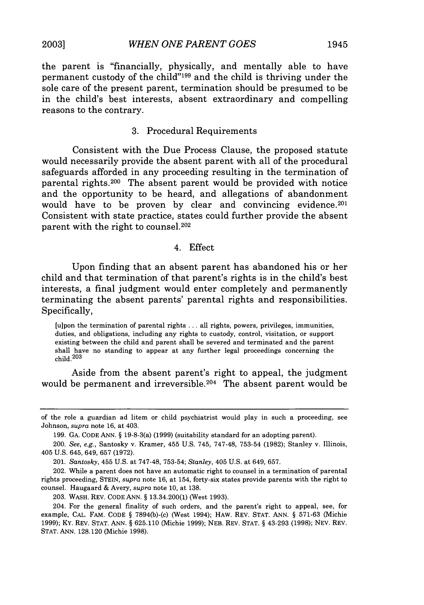the parent is "financially, physically, and mentally able to have permanent custody of the child"<sup>199</sup> and the child is thriving under the sole care of the present parent, termination should be presumed to be in the child's best interests, absent extraordinary and compelling reasons to the contrary.

## **3.** Procedural Requirements

Consistent with the Due Process Clause, the proposed statute would necessarily provide the absent parent with all of the procedural safeguards afforded in any proceeding resulting in the termination of parental rights. 200 The absent parent would be provided with notice and the opportunity to be heard, and allegations of abandonment would have to be proven by clear and convincing evidence.<sup>201</sup> Consistent with state practice, states could further provide the absent parent with the right to counsel.<sup>202</sup>

#### 4. Effect

Upon finding that an absent parent has abandoned his or her child and that termination of that parent's rights is in the child's best interests, a final judgment would enter completely and permanently terminating the absent parents' parental rights and responsibilities. Specifically,

[u]pon the termination of parental rights **...** all rights, powers, privileges, immunities, duties, and obligations, including any rights to custody, control, visitation, or support existing between the child and parent shall be severed and terminated and the parent shall have no standing to appear at any further legal proceedings concerning the  $child.<sup>203</sup>$ 

Aside from the absent parent's right to appeal, the judgment would be permanent and irreversible.<sup>204</sup> The absent parent would be

of the role a guardian ad litem or child psychiatrist would play in such a proceeding, see Johnson, *supra* note **16,** at 403.

**<sup>199.</sup> GA. CODE ANN. §** 19-8-3(a) **(1999)** (suitability standard for an adopting parent).

<sup>200.</sup> *See, e.g.,* Santosky v. Kramer, 455 **U.S.** 745, 747-48, **753-54 (1982);** Stanley v. Illinois, 405 **U.S.** 645, 649, **657 (1972).**

<sup>201.</sup> *Santosky,* 455 **U.S.** at 747-48, **753-54;** *Stanley,* 405 **U.S.** at 649, **657.**

<sup>202.</sup> While a parent does not have an automatic right to counsel in a termination of parental rights proceeding, **STEIN,** *supra* note **16,** at 154, forty-six states provide parents with the right to counsel. Haugaard **&** Avery, *supra* note **10,** at **138.**

**<sup>203.</sup>** WASH. REV. **CODE ANN. §** 13.34.200(1) (West **1993).**

<sup>204.</sup> For the general finality of such orders, and the parent's right to appeal, see, for example, **CAL.** FAM. **CODE §** 7894(b)-(c) (West 1994); HAW. REV. **STAT. ANN. § 571-63** (Michie **1999);** KY. REV. **STAT. ANN. § 625.110** (Michie **1999); NEB.** REV. **STAT. §** 43-293 **(1998); NEV.** REV. **STAT. ANN. 128.120** (Michie **1998).**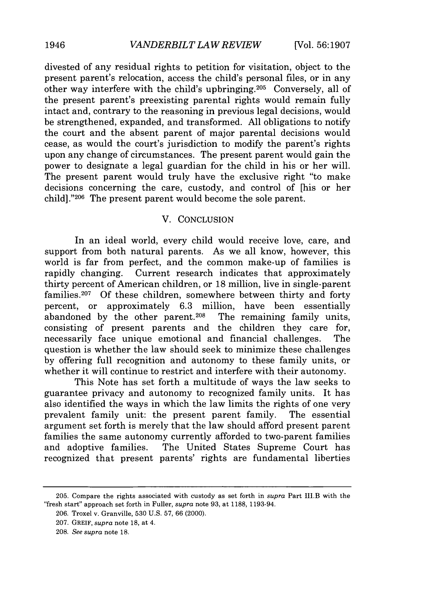divested of any residual rights to petition for visitation, object to the present parent's relocation, access the child's personal files, or in any other way interfere with the child's upbringing.<sup>205</sup> Conversely, all of the present parent's preexisting parental rights would remain fully intact and, contrary to the reasoning in previous legal decisions, would be strengthened, expanded, and transformed. All obligations to notify the court and the absent parent of major parental decisions would cease, as would the court's jurisdiction to modify the parent's rights upon any change of circumstances. The present parent would gain the power to designate a legal guardian for the child in his or her will. The present parent would truly have the exclusive right "to make decisions concerning the care, custody, and control of [his or her child] ."206 The present parent would become the sole parent.

## V. CONCLUSION

In an ideal world, every child would receive love, care, and support from both natural parents. As we all know, however, this world is far from perfect, and the common make-up of families is rapidly changing. Current research indicates that approximately thirty percent of American children, or 18 million, live in single-parent families.<sup>207</sup> Of these children, somewhere between thirty and forty percent, or approximately  $6.3$  million, have been essentially abandoned by the other parent.<sup>208</sup> The remaining family units, abandoned by the other parent.<sup>208</sup> consisting of present parents and the children they care for, necessarily face unique emotional and financial challenges. The question is whether the law should seek to minimize these challenges by offering full recognition and autonomy to these family units, or whether it will continue to restrict and interfere with their autonomy.

This Note has set forth a multitude of ways the law seeks to guarantee privacy and autonomy to recognized family units. It has also identified the ways in which the law limits the rights of one very prevalent family unit: the present parent family. The essential argument set forth is merely that the law should afford present parent families the same autonomy currently afforded to two-parent families and adoptive families. The United States Supreme Court has recognized that present parents' rights are fundamental liberties

<sup>205.</sup> Compare the rights associated with custody as set forth in *supra* Part III.B with the "fresh start" approach set forth in Fuller, *supra* note 93, at 1188, 1193-94.

<sup>206.</sup> Troxel v. Granville, 530 U.S. 57, 66 (2000).

<sup>207.</sup> GREIF, *supra* note 18, at 4.

<sup>208.</sup> *See supra* note 18.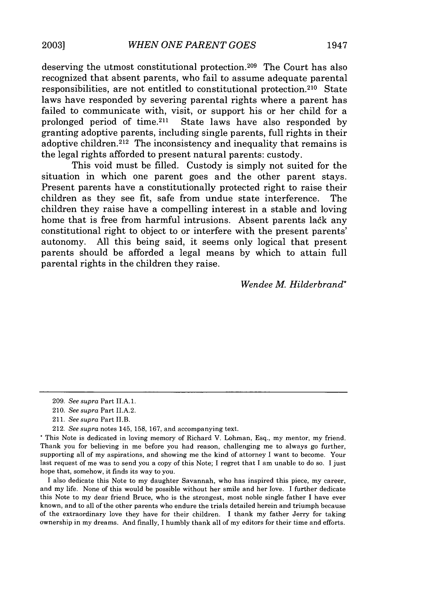deserving the utmost constitutional protection. 209 The Court has also recognized that absent parents, who fail to assume adequate parental responsibilities, are not entitled to constitutional protection. 210 State laws have responded by severing parental rights where a parent has failed to communicate with, visit, or support his or her child for a prolonged period of time.211 State laws have also responded by granting adoptive parents, including single parents, full rights in their adoptive children. 212 The inconsistency and inequality that remains is the legal rights afforded to present natural parents: custody.

This void must be filled. Custody is simply not suited for the situation in which one parent goes and the other parent stays. Present parents have a constitutionally protected right to raise their children as they see fit, safe from undue state interference. The children they raise have a compelling interest in a stable and loving home that is free from harmful intrusions. Absent parents lack any constitutional right to object to or interfere with the present parents' autonomy. All this being said, it seems only logical that present parents should be afforded a legal means by which to attain full parental rights in the children they raise.

*Wendee M Hilderbrand\**

<sup>209.</sup> *See supra* Part II.A.1.

<sup>210.</sup> *See supra* Part II.A.2.

<sup>211.</sup> *See supra* Part II.B.

<sup>212.</sup> *See supra* notes 145, 158, 167, and accompanying text.

This Note is dedicated in loving memory of Richard V. Lohman, Esq., my mentor, my friend. Thank you for believing in me before you had reason, challenging me to always go further, supporting all of my aspirations, and showing me the kind of attorney I want to become. Your last request of me was to send you a copy of this Note; I regret that I am unable to do so. I just hope that, somehow, it finds its way to you.

I also dedicate this Note to my daughter Savannah, who has inspired this piece, my career, and my life. None of this would be possible without her smile and her love. I further dedicate this Note to my dear friend Bruce, who is the strongest, most noble single father I have ever known, and to all of the other parents who endure the trials detailed herein and triumph because of the extraordinary love they have for their children. I thank my father Jerry for taking ownership in my dreams. And finally, I humbly thank all of my editors for their time and efforts.